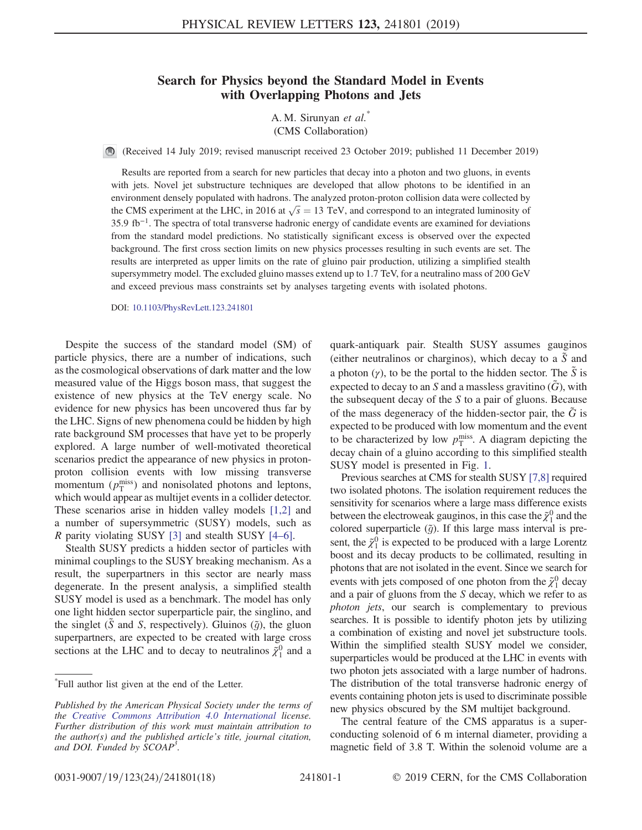## Search for Physics beyond the Standard Model in Events with Overlapping Photons and Jets

A. M. Sirunyan et al.<sup>\*</sup> (CMS Collaboration)

(Received 14 July 2019; revised manuscript received 23 October 2019; published 11 December 2019)

Results are reported from a search for new particles that decay into a photon and two gluons, in events with jets. Novel jet substructure techniques are developed that allow photons to be identified in an environment densely populated with hadrons. The analyzed proton-proton collision data were collected by the CMS experiment at the LHC, in 2016 at  $\sqrt{s} = 13$  TeV, and correspond to an integrated luminosity of  $25.0$  fb<sup>-1</sup>. The greating of total transverse hadronic angrew of condidate quarte are anomined for deviations 35.9 fb<sup>−</sup><sup>1</sup>. The spectra of total transverse hadronic energy of candidate events are examined for deviations from the standard model predictions. No statistically significant excess is observed over the expected background. The first cross section limits on new physics processes resulting in such events are set. The results are interpreted as upper limits on the rate of gluino pair production, utilizing a simplified stealth supersymmetry model. The excluded gluino masses extend up to 1.7 TeV, for a neutralino mass of 200 GeV and exceed previous mass constraints set by analyses targeting events with isolated photons.

DOI: [10.1103/PhysRevLett.123.241801](https://doi.org/10.1103/PhysRevLett.123.241801)

Despite the success of the standard model (SM) of particle physics, there are a number of indications, such as the cosmological observations of dark matter and the low measured value of the Higgs boson mass, that suggest the existence of new physics at the TeV energy scale. No evidence for new physics has been uncovered thus far by the LHC. Signs of new phenomena could be hidden by high rate background SM processes that have yet to be properly explored. A large number of well-motivated theoretical scenarios predict the appearance of new physics in protonproton collision events with low missing transverse momentum  $(p_T^{\text{miss}})$  and nonisolated photons and leptons, which would appear as multijet events in a collider detector. These scenarios arise in hidden valley models [\[1,2\]](#page-4-0) and a number of supersymmetric (SUSY) models, such as R parity violating SUSY [\[3\]](#page-4-1) and stealth SUSY [4–[6\]](#page-4-2).

Stealth SUSY predicts a hidden sector of particles with minimal couplings to the SUSY breaking mechanism. As a result, the superpartners in this sector are nearly mass degenerate. In the present analysis, a simplified stealth SUSY model is used as a benchmark. The model has only one light hidden sector superparticle pair, the singlino, and the singlet (S and S, respectively). Gluinos ( $\tilde{q}$ ), the gluon superpartners, are expected to be created with large cross sections at the LHC and to decay to neutralinos  $\tilde{\chi}_1^0$  and a

\* Full author list given at the end of the Letter.

quark-antiquark pair. Stealth SUSY assumes gauginos (either neutralinos or charginos), which decay to a  $\tilde{S}$  and a photon  $(y)$ , to be the portal to the hidden sector. The  $\tilde{S}$  is expected to decay to an S and a massless gravitino  $(\tilde{G})$ , with the subsequent decay of the  $S$  to a pair of gluons. Because of the mass degeneracy of the hidden-sector pair, the  $\tilde{G}$  is expected to be produced with low momentum and the event to be characterized by low  $p_T^{\text{miss}}$ . A diagram depicting the decay chain of a gluino according to this simplified stealth SUSY model is presented in Fig. [1](#page-1-0).

Previous searches at CMS for stealth SUSY [\[7,8\]](#page-5-0) required two isolated photons. The isolation requirement reduces the sensitivity for scenarios where a large mass difference exists between the electroweak gauginos, in this case the  $\tilde{\chi}_1^0$  and the colored superparticle  $(\tilde{g})$ . If this large mass interval is present, the  $\tilde{\chi}_1^0$  is expected to be produced with a large Lorentz boost and its decay products to be collimated, resulting in photons that are not isolated in the event. Since we search for events with jets composed of one photon from the  $\tilde{\chi}_1^0$  decay and a pair of gluons from the S decay, which we refer to as photon jets, our search is complementary to previous searches. It is possible to identify photon jets by utilizing a combination of existing and novel jet substructure tools. Within the simplified stealth SUSY model we consider, superparticles would be produced at the LHC in events with two photon jets associated with a large number of hadrons. The distribution of the total transverse hadronic energy of events containing photon jets is used to discriminate possible new physics obscured by the SM multijet background.

The central feature of the CMS apparatus is a superconducting solenoid of 6 m internal diameter, providing a magnetic field of 3.8 T. Within the solenoid volume are a

Published by the American Physical Society under the terms of the [Creative Commons Attribution 4.0 International](https://creativecommons.org/licenses/by/4.0/) license. Further distribution of this work must maintain attribution to the author(s) and the published article's title, journal citation, and DOI. Funded by SCOAP<sup>3</sup>.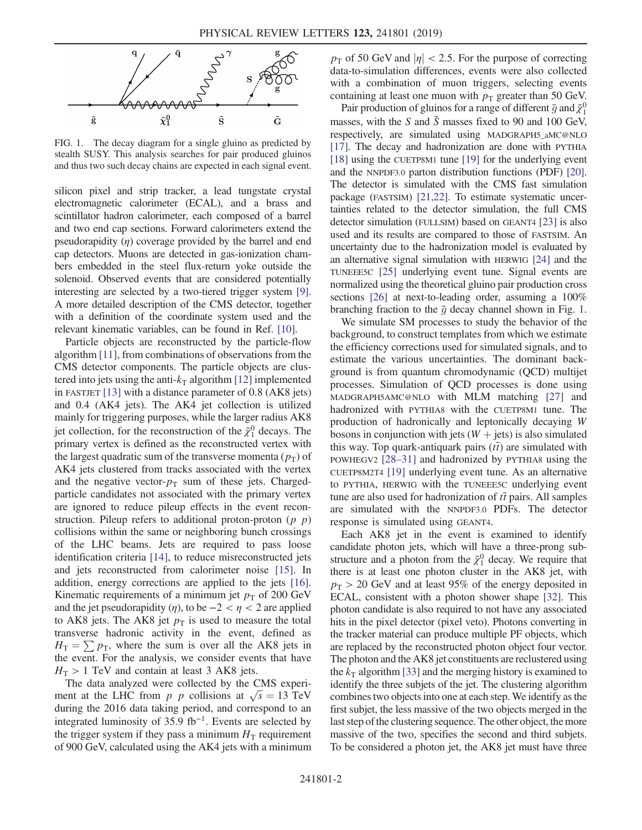<span id="page-1-0"></span>

FIG. 1. The decay diagram for a single gluino as predicted by stealth SUSY. This analysis searches for pair produced gluinos and thus two such decay chains are expected in each signal event.

silicon pixel and strip tracker, a lead tungstate crystal electromagnetic calorimeter (ECAL), and a brass and scintillator hadron calorimeter, each composed of a barrel and two end cap sections. Forward calorimeters extend the pseudorapidity  $(n)$  coverage provided by the barrel and end cap detectors. Muons are detected in gas-ionization chambers embedded in the steel flux-return yoke outside the solenoid. Observed events that are considered potentially interesting are selected by a two-tiered trigger system [\[9\]](#page-5-1). A more detailed description of the CMS detector, together with a definition of the coordinate system used and the relevant kinematic variables, can be found in Ref. [\[10\]](#page-5-2).

Particle objects are reconstructed by the particle-flow algorithm [\[11\],](#page-5-3) from combinations of observations from the CMS detector components. The particle objects are clustered into jets using the anti- $k<sub>T</sub>$  algorithm [\[12\]](#page-5-4) implemented in FASTJET [\[13\]](#page-5-5) with a distance parameter of 0.8 (AK8 jets) and 0.4 (AK4 jets). The AK4 jet collection is utilized mainly for triggering purposes, while the larger radius AK8 jet collection, for the reconstruction of the  $\tilde{\chi}^0_1$  decays. The primary vertex is defined as the reconstructed vertex with the largest quadratic sum of the transverse momenta ( $p<sub>T</sub>$ ) of AK4 jets clustered from tracks associated with the vertex and the negative vector- $p<sub>T</sub>$  sum of these jets. Chargedparticle candidates not associated with the primary vertex are ignored to reduce pileup effects in the event reconstruction. Pileup refers to additional proton-proton  $(p, p)$ collisions within the same or neighboring bunch crossings of the LHC beams. Jets are required to pass loose identification criteria [\[14\]](#page-5-6), to reduce misreconstructed jets and jets reconstructed from calorimeter noise [\[15\].](#page-5-7) In addition, energy corrections are applied to the jets [\[16\]](#page-5-8). Kinematic requirements of a minimum jet  $p_T$  of 200 GeV and the jet pseudorapidity  $(\eta)$ , to be  $-2 < \eta < 2$  are applied to AK8 jets. The AK8 jet  $p<sub>T</sub>$  is used to measure the total transverse hadronic activity in the event, defined as  $H_T = \sum p_T$ , where the sum is over all the AK8 jets in the event. For the analysis, we consider events that have  $H_{\rm T} > 1$  TeV and contain at least 3 AK8 jets.

The data analyzed were collected by the CMS experiment at the LHC from p p collisions at  $\sqrt{s} = 13$  TeV<br>during the 2016 data taking period, and correspond to an during the 2016 data taking period, and correspond to an integrated luminosity of 35.9 fb<sup>-1</sup>. Events are selected by the trigger system if they pass a minimum  $H<sub>T</sub>$  requirement of 900 GeV, calculated using the AK4 jets with a minimum

 $p<sub>T</sub>$  of 50 GeV and  $|\eta| < 2.5$ . For the purpose of correcting data-to-simulation differences, events were also collected with a combination of muon triggers, selecting events containing at least one muon with  $p_T$  greater than 50 GeV.

Pair production of gluinos for a range of different  $\tilde{g}$  and  $\tilde{\chi}^0_1$ masses, with the S and  $\tilde{S}$  masses fixed to 90 and 100 GeV, respectively, are simulated using MADGRAPH5\_aMC@NLO [\[17\].](#page-5-9) The decay and hadronization are done with PYTHIA [\[18\]](#page-5-10) using the CUETP8M1 tune [\[19\]](#page-5-11) for the underlying event and the NNPDF3.0 parton distribution functions (PDF) [\[20\]](#page-5-12). The detector is simulated with the CMS fast simulation package (FASTSIM) [\[21,22\]](#page-5-13). To estimate systematic uncertainties related to the detector simulation, the full CMS detector simulation (FULLSIM) based on GEANT4 [\[23\]](#page-5-14) is also used and its results are compared to those of FASTSIM. An uncertainty due to the hadronization model is evaluated by an alternative signal simulation with HERWIG [\[24\]](#page-5-15) and the TUNEEE5C [\[25\]](#page-5-16) underlying event tune. Signal events are normalized using the theoretical gluino pair production cross sections [\[26\]](#page-5-17) at next-to-leading order, assuming a  $100\%$ branching fraction to the  $\tilde{g}$  decay channel shown in Fig. [1](#page-1-0).

We simulate SM processes to study the behavior of the background, to construct templates from which we estimate the efficiency corrections used for simulated signals, and to estimate the various uncertainties. The dominant background is from quantum chromodynamic (QCD) multijet processes. Simulation of QCD processes is done using MADGRAPH5AMC@NLO with MLM matching [\[27\]](#page-5-18) and hadronized with PYTHIA8 with the CUETP8M1 tune. The production of hadronically and leptonically decaying W bosons in conjunction with jets  $(W + \text{jets})$  is also simulated this way. Top quark-antiquark pairs  $(t\bar{t})$  are simulated with POWHEGV2 [\[28](#page-5-19)–31] and hadronized by PYTHIA8 using the CUETP8M2T4 [\[19\]](#page-5-11) underlying event tune. As an alternative to PYTHIA, HERWIG with the TUNEEE5C underlying event tune are also used for hadronization of  $t\bar{t}$  pairs. All samples are simulated with the NNPDF3.0 PDFs. The detector response is simulated using GEANT4.

Each AK8 jet in the event is examined to identify candidate photon jets, which will have a three-prong substructure and a photon from the  $\tilde{\chi}_1^0$  decay. We require that there is at least one photon cluster in the AK8 jet, with  $p_T > 20$  GeV and at least 95% of the energy deposited in ECAL, consistent with a photon shower shape [\[32\]](#page-5-20). This photon candidate is also required to not have any associated hits in the pixel detector (pixel veto). Photons converting in the tracker material can produce multiple PF objects, which are replaced by the reconstructed photon object four vector. The photon and the AK8 jet constituents are reclustered using the  $k<sub>T</sub>$  algorithm [\[33\]](#page-5-21) and the merging history is examined to identify the three subjets of the jet. The clustering algorithm combines two objects into one at each step. We identify as the first subjet, the less massive of the two objects merged in the last step of the clustering sequence. The other object, the more massive of the two, specifies the second and third subjets. To be considered a photon jet, the AK8 jet must have three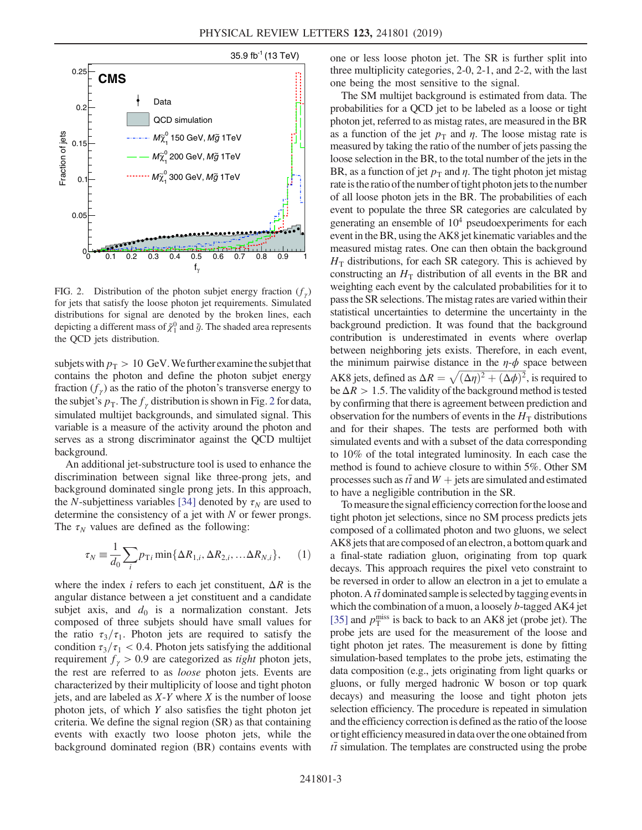<span id="page-2-0"></span>

FIG. 2. Distribution of the photon subjet energy fraction  $(f_{\gamma})$ for jets that satisfy the loose photon jet requirements. Simulated distributions for signal are denoted by the broken lines, each depicting a different mass of  $\tilde{\chi}_1^0$  and  $\tilde{g}$ . The shaded area represents the QCD jets distribution.

subjets with  $p_T > 10$  GeV. We further examine the subjet that contains the photon and define the photon subjet energy fraction  $(f_\gamma)$  as the ratio of the photon's transverse energy to the subjet's  $p_T$ . The  $f_\gamma$  distribution is shown in Fig. [2](#page-2-0) for data, simulated multijet backgrounds, and simulated signal. This variable is a measure of the activity around the photon and serves as a strong discriminator against the QCD multijet background.

An additional jet-substructure tool is used to enhance the discrimination between signal like three-prong jets, and background dominated single prong jets. In this approach, the N-subjettiness variables [\[34\]](#page-5-22) denoted by  $\tau_N$  are used to determine the consistency of a jet with N or fewer prongs. The  $\tau_N$  values are defined as the following:

$$
\tau_N \equiv \frac{1}{d_0} \sum_i p_{\mathrm{T}i} \min\{\Delta R_{1,i}, \Delta R_{2,i}, \dots \Delta R_{N,i}\},\qquad(1)
$$

where the index *i* refers to each jet constituent,  $\Delta R$  is the angular distance between a jet constituent and a candidate subjet axis, and  $d_0$  is a normalization constant. Jets composed of three subjets should have small values for the ratio  $\tau_3/\tau_1$ . Photon jets are required to satisfy the condition  $\tau_3/\tau_1 < 0.4$ . Photon jets satisfying the additional requirement  $f_y > 0.9$  are categorized as *tight* photon jets, the rest are referred to as *loose* photon jets. Events are characterized by their multiplicity of loose and tight photon jets, and are labeled as  $X - Y$  where  $X$  is the number of loose photon jets, of which  $Y$  also satisfies the tight photon jet criteria. We define the signal region (SR) as that containing events with exactly two loose photon jets, while the background dominated region (BR) contains events with one or less loose photon jet. The SR is further split into three multiplicity categories, 2-0, 2-1, and 2-2, with the last one being the most sensitive to the signal.

The SM multijet background is estimated from data. The probabilities for a QCD jet to be labeled as a loose or tight photon jet, referred to as mistag rates, are measured in the BR as a function of the jet  $p_T$  and  $\eta$ . The loose mistag rate is measured by taking the ratio of the number of jets passing the loose selection in the BR, to the total number of the jets in the BR, as a function of jet  $p_T$  and  $\eta$ . The tight photon jet mistag rate is the ratio of the number of tight photon jets to the number of all loose photon jets in the BR. The probabilities of each event to populate the three SR categories are calculated by generating an ensemble of  $10<sup>4</sup>$  pseudoexperiments for each event in the BR, using the AK8 jet kinematic variables and the measured mistag rates. One can then obtain the background  $H<sub>T</sub>$  distributions, for each SR category. This is achieved by constructing an  $H<sub>T</sub>$  distribution of all events in the BR and weighting each event by the calculated probabilities for it to pass the SR selections. The mistag rates are varied within their statistical uncertainties to determine the uncertainty in the background prediction. It was found that the background contribution is underestimated in events where overlap between neighboring jets exists. Therefore, in each event, the minimum pairwise distance in the  $\eta$ - $\phi$  space between AK8 jets, defined as  $\Delta R = \sqrt{(\Delta \eta)^2 + (\Delta \phi)^2}$ , is required to be  $\Delta R > 1.5$  The validity of the background method is tested be  $\Delta R > 1.5$ . The validity of the background method is tested by confirming that there is agreement between prediction and observation for the numbers of events in the  $H<sub>T</sub>$  distributions and for their shapes. The tests are performed both with simulated events and with a subset of the data corresponding to 10% of the total integrated luminosity. In each case the method is found to achieve closure to within 5%. Other SM processes such as  $t\bar{t}$  and  $W +$  jets are simulated and estimated to have a negligible contribution in the SR.

To measure the signal efficiency correction for the loose and tight photon jet selections, since no SM process predicts jets composed of a collimated photon and two gluons, we select AK8 jets that are composed of an electron, a bottom quark and a final-state radiation gluon, originating from top quark decays. This approach requires the pixel veto constraint to be reversed in order to allow an electron in a jet to emulate a photon. A  $t\bar{t}$  dominated sample is selected by tagging events in which the combination of a muon, a loosely b-tagged AK4 jet [\[35\]](#page-5-23) and  $p_T^{\text{miss}}$  is back to back to an AK8 jet (probe jet). The probe jets are used for the measurement of the loose and tight photon jet rates. The measurement is done by fitting simulation-based templates to the probe jets, estimating the data composition (e.g., jets originating from light quarks or gluons, or fully merged hadronic W boson or top quark decays) and measuring the loose and tight photon jets selection efficiency. The procedure is repeated in simulation and the efficiency correction is defined as the ratio of the loose or tight efficiency measuredin data over the one obtained from  $t\bar{t}$  simulation. The templates are constructed using the probe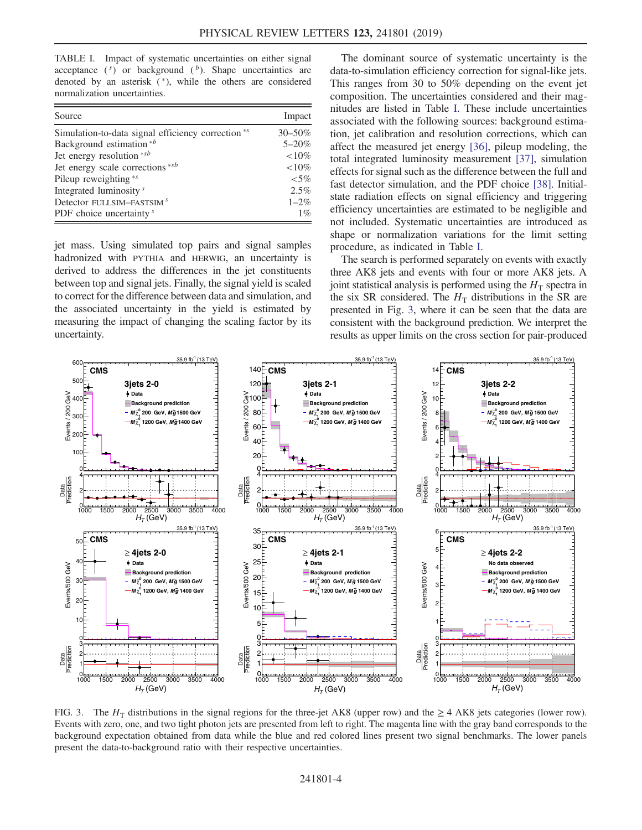<span id="page-3-0"></span>TABLE I. Impact of systematic uncertainties on either signal acceptance  $(s)$  or background  $(b)$ . Shape uncertainties are denoted by an asterisk (\*), while the others are considered normalization uncertainties.

| Source                                             | Impact      |
|----------------------------------------------------|-------------|
| Simulation-to-data signal efficiency correction *s | $30 - 50\%$ |
| Background estimation $*$                          | $5 - 20%$   |
| Jet energy resolution $*sb$                        | ${<}10\%$   |
| Jet energy scale corrections *sb                   | ${<}10\%$   |
| Pileup reweighting *s                              | $< 5\%$     |
| Integrated luminosity <sup>s</sup>                 | 2.5%        |
| Detector FULLSIM-FASTSIM <sup>S</sup>              | $1 - 2\%$   |
| PDF choice uncertainty $s$                         | $1\%$       |

jet mass. Using simulated top pairs and signal samples hadronized with PYTHIA and HERWIG, an uncertainty is derived to address the differences in the jet constituents between top and signal jets. Finally, the signal yield is scaled to correct for the difference between data and simulation, and the associated uncertainty in the yield is estimated by measuring the impact of changing the scaling factor by its uncertainty.

The dominant source of systematic uncertainty is the data-to-simulation efficiency correction for signal-like jets. This ranges from 30 to 50% depending on the event jet composition. The uncertainties considered and their magnitudes are listed in Table [I](#page-3-0). These include uncertainties associated with the following sources: background estimation, jet calibration and resolution corrections, which can affect the measured jet energy [\[36\]](#page-5-24), pileup modeling, the total integrated luminosity measurement [\[37\]](#page-5-25), simulation effects for signal such as the difference between the full and fast detector simulation, and the PDF choice [\[38\].](#page-5-26) Initialstate radiation effects on signal efficiency and triggering efficiency uncertainties are estimated to be negligible and not included. Systematic uncertainties are introduced as shape or normalization variations for the limit setting procedure, as indicated in Table [I](#page-3-0).

The search is performed separately on events with exactly three AK8 jets and events with four or more AK8 jets. A joint statistical analysis is performed using the  $H<sub>T</sub>$  spectra in the six SR considered. The  $H<sub>T</sub>$  distributions in the SR are presented in Fig. [3](#page-3-1), where it can be seen that the data are consistent with the background prediction. We interpret the results as upper limits on the cross section for pair-produced

<span id="page-3-1"></span>

FIG. 3. The  $H<sub>T</sub>$  distributions in the signal regions for the three-jet AK8 (upper row) and the  $\geq$  4 AK8 jets categories (lower row). Events with zero, one, and two tight photon jets are presented from left to right. The magenta line with the gray band corresponds to the background expectation obtained from data while the blue and red colored lines present two signal benchmarks. The lower panels present the data-to-background ratio with their respective uncertainties.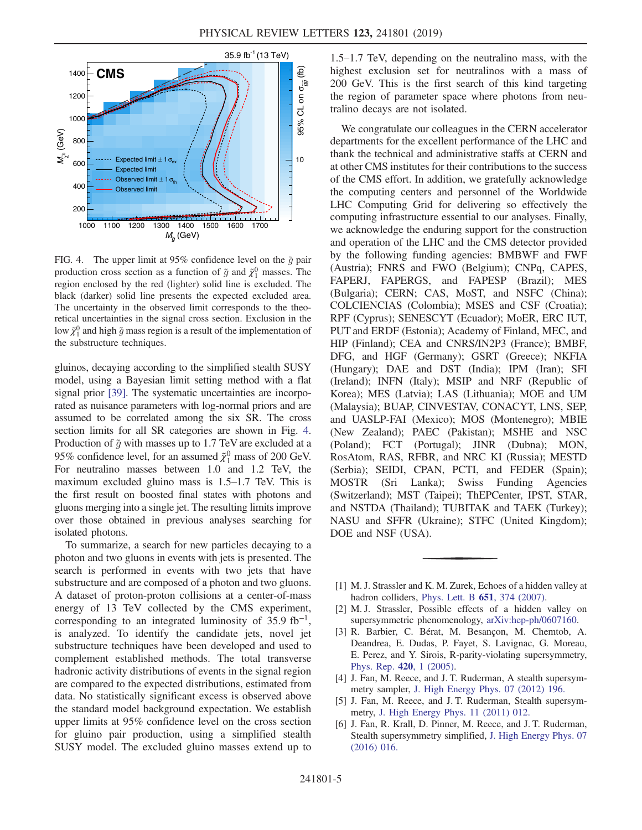<span id="page-4-3"></span>

FIG. 4. The upper limit at 95% confidence level on the  $\tilde{g}$  pair production cross section as a function of  $\tilde{g}$  and  $\tilde{\chi}_1^0$  masses. The region enclosed by the red (lighter) solid line is excluded. The black (darker) solid line presents the expected excluded area. The uncertainty in the observed limit corresponds to the theoretical uncertainties in the signal cross section. Exclusion in the low  $\tilde{\chi}_1^0$  and high  $\tilde{g}$  mass region is a result of the implementation of the substructure techniques.

gluinos, decaying according to the simplified stealth SUSY model, using a Bayesian limit setting method with a flat signal prior [\[39\].](#page-5-27) The systematic uncertainties are incorporated as nuisance parameters with log-normal priors and are assumed to be correlated among the six SR. The cross section limits for all SR categories are shown in Fig. [4](#page-4-3). Production of  $\tilde{g}$  with masses up to 1.7 TeV are excluded at a 95% confidence level, for an assumed  $\tilde{\chi}_1^0$  mass of 200 GeV. For neutralino masses between 1.0 and 1.2 TeV, the maximum excluded gluino mass is 1.5–1.7 TeV. This is the first result on boosted final states with photons and gluons merging into a single jet. The resulting limits improve over those obtained in previous analyses searching for isolated photons.

To summarize, a search for new particles decaying to a photon and two gluons in events with jets is presented. The search is performed in events with two jets that have substructure and are composed of a photon and two gluons. A dataset of proton-proton collisions at a center-of-mass energy of 13 TeV collected by the CMS experiment, corresponding to an integrated luminosity of 35.9 fb<sup>-1</sup>, is analyzed. To identify the candidate jets, novel jet substructure techniques have been developed and used to complement established methods. The total transverse hadronic activity distributions of events in the signal region are compared to the expected distributions, estimated from data. No statistically significant excess is observed above the standard model background expectation. We establish upper limits at 95% confidence level on the cross section for gluino pair production, using a simplified stealth SUSY model. The excluded gluino masses extend up to

1.5–1.7 TeV, depending on the neutralino mass, with the highest exclusion set for neutralinos with a mass of 200 GeV. This is the first search of this kind targeting the region of parameter space where photons from neutralino decays are not isolated.

We congratulate our colleagues in the CERN accelerator departments for the excellent performance of the LHC and thank the technical and administrative staffs at CERN and at other CMS institutes for their contributions to the success of the CMS effort. In addition, we gratefully acknowledge the computing centers and personnel of the Worldwide LHC Computing Grid for delivering so effectively the computing infrastructure essential to our analyses. Finally, we acknowledge the enduring support for the construction and operation of the LHC and the CMS detector provided by the following funding agencies: BMBWF and FWF (Austria); FNRS and FWO (Belgium); CNPq, CAPES, FAPERJ, FAPERGS, and FAPESP (Brazil); MES (Bulgaria); CERN; CAS, MoST, and NSFC (China); COLCIENCIAS (Colombia); MSES and CSF (Croatia); RPF (Cyprus); SENESCYT (Ecuador); MoER, ERC IUT, PUT and ERDF (Estonia); Academy of Finland, MEC, and HIP (Finland); CEA and CNRS/IN2P3 (France); BMBF, DFG, and HGF (Germany); GSRT (Greece); NKFIA (Hungary); DAE and DST (India); IPM (Iran); SFI (Ireland); INFN (Italy); MSIP and NRF (Republic of Korea); MES (Latvia); LAS (Lithuania); MOE and UM (Malaysia); BUAP, CINVESTAV, CONACYT, LNS, SEP, and UASLP-FAI (Mexico); MOS (Montenegro); MBIE (New Zealand); PAEC (Pakistan); MSHE and NSC (Poland); FCT (Portugal); JINR (Dubna); MON, RosAtom, RAS, RFBR, and NRC KI (Russia); MESTD (Serbia); SEIDI, CPAN, PCTI, and FEDER (Spain); MOSTR (Sri Lanka); Swiss Funding Agencies (Switzerland); MST (Taipei); ThEPCenter, IPST, STAR, and NSTDA (Thailand); TUBITAK and TAEK (Turkey); NASU and SFFR (Ukraine); STFC (United Kingdom); DOE and NSF (USA).

- <span id="page-4-0"></span>[1] M. J. Strassler and K. M. Zurek, Echoes of a hidden valley at hadron colliders, [Phys. Lett. B](https://doi.org/10.1016/j.physletb.2007.06.055) 651, 374 (2007).
- <span id="page-4-1"></span>[2] M. J. Strassler, Possible effects of a hidden valley on supersymmetric phenomenology, [arXiv:hep-ph/0607160](https://arXiv.org/abs/hep-ph/0607160).
- [3] R. Barbier, C. Bérat, M. Besançon, M. Chemtob, A. Deandrea, E. Dudas, P. Fayet, S. Lavignac, G. Moreau, E. Perez, and Y. Sirois, R-parity-violating supersymmetry, [Phys. Rep.](https://doi.org/10.1016/j.physrep.2005.08.006) 420, 1 (2005).
- <span id="page-4-2"></span>[4] J. Fan, M. Reece, and J. T. Ruderman, A stealth supersymmetry sampler, [J. High Energy Phys. 07 \(2012\) 196.](https://doi.org/10.1007/JHEP07(2012)196)
- [5] J. Fan, M. Reece, and J. T. Ruderman, Stealth supersymmetry, [J. High Energy Phys. 11 \(2011\) 012.](https://doi.org/10.1007/JHEP11(2011)012)
- [6] J. Fan, R. Krall, D. Pinner, M. Reece, and J. T. Ruderman, Stealth supersymmetry simplified, [J. High Energy Phys. 07](https://doi.org/10.1007/JHEP07(2016)016) [\(2016\) 016.](https://doi.org/10.1007/JHEP07(2016)016)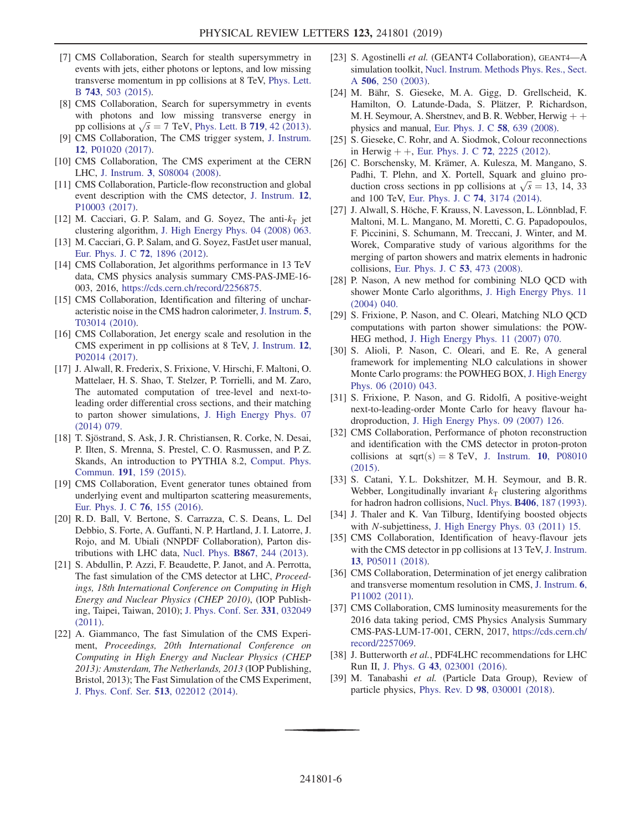- <span id="page-5-0"></span>[7] CMS Collaboration, Search for stealth supersymmetry in events with jets, either photons or leptons, and low missing transverse momentum in pp collisions at 8 TeV, [Phys. Lett.](https://doi.org/10.1016/j.physletb.2015.03.017) B 743[, 503 \(2015\)](https://doi.org/10.1016/j.physletb.2015.03.017).
- [8] CMS Collaboration, Search for supersymmetry in events with photons and low missing transverse energy in pp collisions at  $\sqrt{s} = 7$  TeV, [Phys. Lett. B](https://doi.org/10.1016/j.physletb.2012.12.055) 719, 42 (2013).<br>CMS Collaboration. The CMS trigger system L Instrum
- <span id="page-5-1"></span>[9] CMS Collaboration, The CMS trigger system, [J. Instrum.](https://doi.org/10.1088/1748-0221/12/01/P01020) 12[, P01020 \(2017\)](https://doi.org/10.1088/1748-0221/12/01/P01020).
- <span id="page-5-2"></span>[10] CMS Collaboration, The CMS experiment at the CERN LHC, J. Instrum. 3[, S08004 \(2008\).](https://doi.org/10.1088/1748-0221/3/08/S08004)
- <span id="page-5-3"></span>[11] CMS Collaboration, Particle-flow reconstruction and global event description with the CMS detector, [J. Instrum.](https://doi.org/10.1088/1748-0221/12/10/P10003) 12, [P10003 \(2017\)](https://doi.org/10.1088/1748-0221/12/10/P10003).
- <span id="page-5-4"></span>[12] M. Cacciari, G. P. Salam, and G. Soyez, The anti- $k_T$  jet clustering algorithm, [J. High Energy Phys. 04 \(2008\) 063.](https://doi.org/10.1088/1126-6708/2008/04/063)
- <span id="page-5-5"></span>[13] M. Cacciari, G. P. Salam, and G. Soyez, FastJet user manual, [Eur. Phys. J. C](https://doi.org/10.1140/epjc/s10052-012-1896-2) 72, 1896 (2012).
- <span id="page-5-6"></span>[14] CMS Collaboration, Jet algorithms performance in 13 TeV data, CMS physics analysis summary CMS-PAS-JME-16- 003, 2016, <https://cds.cern.ch/record/2256875>.
- <span id="page-5-7"></span>[15] CMS Collaboration, Identification and filtering of uncharacteristic noise in the CMS hadron calorimeter, [J. Instrum.](https://doi.org/10.1088/1748-0221/5/03/T03014) 5, [T03014 \(2010\).](https://doi.org/10.1088/1748-0221/5/03/T03014)
- <span id="page-5-8"></span>[16] CMS Collaboration, Jet energy scale and resolution in the CMS experiment in pp collisions at 8 TeV, [J. Instrum.](https://doi.org/10.1088/1748-0221/12/02/P02014) 12, [P02014 \(2017\)](https://doi.org/10.1088/1748-0221/12/02/P02014).
- <span id="page-5-9"></span>[17] J. Alwall, R. Frederix, S. Frixione, V. Hirschi, F. Maltoni, O. Mattelaer, H. S. Shao, T. Stelzer, P. Torrielli, and M. Zaro, The automated computation of tree-level and next-toleading order differential cross sections, and their matching to parton shower simulations, [J. High Energy Phys. 07](https://doi.org/10.1007/JHEP07(2014)079) [\(2014\) 079.](https://doi.org/10.1007/JHEP07(2014)079)
- <span id="page-5-10"></span>[18] T. Sjöstrand, S. Ask, J. R. Christiansen, R. Corke, N. Desai, P. Ilten, S. Mrenna, S. Prestel, C. O. Rasmussen, and P. Z. Skands, An introduction to PYTHIA 8.2, [Comput. Phys.](https://doi.org/10.1016/j.cpc.2015.01.024) Commun. 191[, 159 \(2015\)](https://doi.org/10.1016/j.cpc.2015.01.024).
- <span id="page-5-11"></span>[19] CMS Collaboration, Event generator tunes obtained from underlying event and multiparton scattering measurements, [Eur. Phys. J. C](https://doi.org/10.1140/epjc/s10052-016-3988-x) 76, 155 (2016).
- <span id="page-5-12"></span>[20] R. D. Ball, V. Bertone, S. Carrazza, C. S. Deans, L. Del Debbio, S. Forte, A. Guffanti, N. P. Hartland, J. I. Latorre, J. Rojo, and M. Ubiali (NNPDF Collaboration), Parton distributions with LHC data, Nucl. Phys. B867[, 244 \(2013\).](https://doi.org/10.1016/j.nuclphysb.2012.10.003)
- <span id="page-5-13"></span>[21] S. Abdullin, P. Azzi, F. Beaudette, P. Janot, and A. Perrotta, The fast simulation of the CMS detector at LHC, Proceedings, 18th International Conference on Computing in High Energy and Nuclear Physics (CHEP 2010), (IOP Publishing, Taipei, Taiwan, 2010); [J. Phys. Conf. Ser.](https://doi.org/10.1088/1742-6596/331/3/032049) 331, 032049 [\(2011\).](https://doi.org/10.1088/1742-6596/331/3/032049)
- [22] A. Giammanco, The fast Simulation of the CMS Experiment, Proceedings, 20th International Conference on Computing in High Energy and Nuclear Physics (CHEP 2013): Amsterdam, The Netherlands, 2013 (IOP Publishing, Bristol, 2013); The Fast Simulation of the CMS Experiment, [J. Phys. Conf. Ser.](https://doi.org/10.1088/1742-6596/513/2/022012) 513, 022012 (2014).
- <span id="page-5-14"></span>[23] S. Agostinelli et al. (GEANT4 Collaboration), GEANT4-A simulation toolkit, [Nucl. Instrum. Methods Phys. Res., Sect.](https://doi.org/10.1016/S0168-9002(03)01368-8) A 506[, 250 \(2003\).](https://doi.org/10.1016/S0168-9002(03)01368-8)
- <span id="page-5-15"></span>[24] M. Bähr, S. Gieseke, M. A. Gigg, D. Grellscheid, K. Hamilton, O. Latunde-Dada, S. Plätzer, P. Richardson, M. H. Seymour, A. Sherstnev, and B. R. Webber, Herwig  $++$ physics and manual, [Eur. Phys. J. C](https://doi.org/10.1140/epjc/s10052-008-0798-9) 58, 639 (2008).
- <span id="page-5-16"></span>[25] S. Gieseke, C. Rohr, and A. Siodmok, Colour reconnections in Herwig  $+$ , [Eur. Phys. J. C](https://doi.org/10.1140/epjc/s10052-012-2225-5) 72, 2225 (2012).
- <span id="page-5-17"></span>[26] C. Borschensky, M. Krämer, A. Kulesza, M. Mangano, S. Padhi, T. Plehn, and X. Portell, Squark and gluino production cross sections in pp collisions at  $\sqrt{s} = 13, 14, 33$ <br>and 100 TeV. Fur. Phys. I. C. 74, 3174 (2014) and 100 TeV, [Eur. Phys. J. C](https://doi.org/10.1140/epjc/s10052-014-3174-y) 74, 3174 (2014).
- <span id="page-5-18"></span>[27] J. Alwall, S. Höche, F. Krauss, N. Lavesson, L. Lönnblad, F. Maltoni, M. L. Mangano, M. Moretti, C. G. Papadopoulos, F. Piccinini, S. Schumann, M. Treccani, J. Winter, and M. Worek, Comparative study of various algorithms for the merging of parton showers and matrix elements in hadronic collisions, [Eur. Phys. J. C](https://doi.org/10.1140/epjc/s10052-007-0490-5) 53, 473 (2008).
- <span id="page-5-19"></span>[28] P. Nason, A new method for combining NLO QCD with shower Monte Carlo algorithms, [J. High Energy Phys. 11](https://doi.org/10.1088/1126-6708/2004/11/040) [\(2004\) 040.](https://doi.org/10.1088/1126-6708/2004/11/040)
- [29] S. Frixione, P. Nason, and C. Oleari, Matching NLO OCD computations with parton shower simulations: the POW-HEG method, [J. High Energy Phys. 11 \(2007\) 070.](https://doi.org/10.1088/1126-6708/2007/11/070)
- [30] S. Alioli, P. Nason, C. Oleari, and E. Re, A general framework for implementing NLO calculations in shower Monte Carlo programs: the POWHEG BOX, [J. High Energy](https://doi.org/10.1007/JHEP06(2010)043) [Phys. 06 \(2010\) 043.](https://doi.org/10.1007/JHEP06(2010)043)
- [31] S. Frixione, P. Nason, and G. Ridolfi, A positive-weight next-to-leading-order Monte Carlo for heavy flavour hadroproduction, [J. High Energy Phys. 09 \(2007\) 126.](https://doi.org/10.1088/1126-6708/2007/09/126)
- <span id="page-5-20"></span>[32] CMS Collaboration, Performance of photon reconstruction and identification with the CMS detector in proton-proton collisions at sqrt $(s) = 8$  TeV, [J. Instrum.](https://doi.org/10.1088/1748-0221/10/08/P08010) 10, P08010 [\(2015\).](https://doi.org/10.1088/1748-0221/10/08/P08010)
- <span id="page-5-21"></span>[33] S. Catani, Y. L. Dokshitzer, M. H. Seymour, and B. R. Webber, Longitudinally invariant  $k<sub>T</sub>$  clustering algorithms for hadron hadron collisions, Nucl. Phys. B406[, 187 \(1993\).](https://doi.org/10.1016/0550-3213(93)90166-M)
- <span id="page-5-23"></span><span id="page-5-22"></span>[34] J. Thaler and K. Van Tilburg, Identifying boosted objects with N-subjettiness, [J. High Energy Phys. 03 \(2011\) 15.](https://doi.org/10.1007/JHEP03(2011)015)
- [35] CMS Collaboration, Identification of heavy-flavour jets with the CMS detector in pp collisions at 13 TeV, [J. Instrum.](https://doi.org/10.1088/1748-0221/13/05/P05011) 13[, P05011 \(2018\)](https://doi.org/10.1088/1748-0221/13/05/P05011).
- <span id="page-5-24"></span>[36] CMS Collaboration, Determination of jet energy calibration and transverse momentum resolution in CMS, [J. Instrum.](https://doi.org/10.1088/1748-0221/6/11/P11002) 6, [P11002 \(2011\)](https://doi.org/10.1088/1748-0221/6/11/P11002).
- <span id="page-5-25"></span>[37] CMS Collaboration, CMS luminosity measurements for the 2016 data taking period, CMS Physics Analysis Summary CMS-PAS-LUM-17-001, CERN, 2017, [https://cds.cern.ch/](https://cds.cern.ch/record/2257069) [record/2257069.](https://cds.cern.ch/record/2257069)
- <span id="page-5-27"></span><span id="page-5-26"></span>[38] J. Butterworth et al., PDF4LHC recommendations for LHC Run II, J. Phys. G 43[, 023001 \(2016\).](https://doi.org/10.1088/0954-3899/43/2/023001)
- [39] M. Tanabashi et al. (Particle Data Group), Review of particle physics, Phys. Rev. D 98[, 030001 \(2018\).](https://doi.org/10.1103/PhysRevD.98.030001)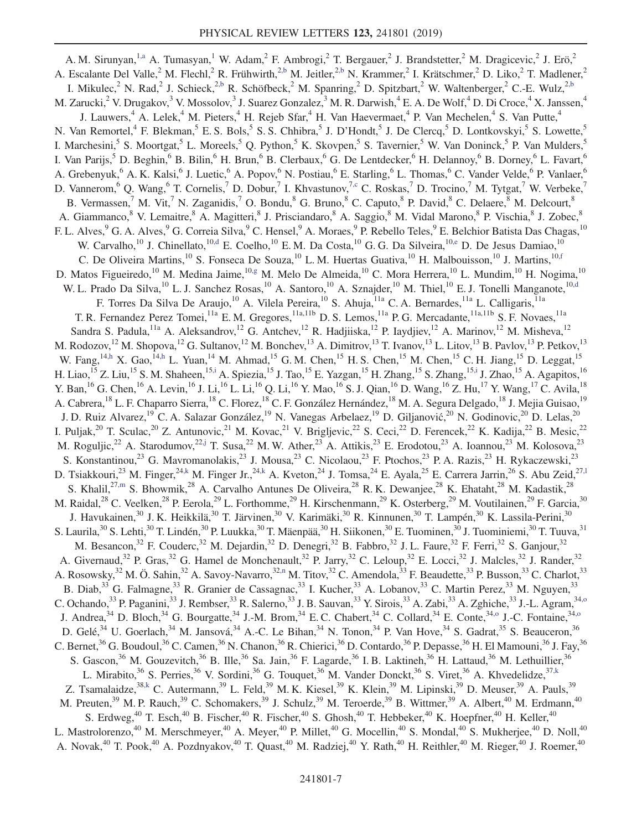<span id="page-6-14"></span><span id="page-6-13"></span><span id="page-6-12"></span><span id="page-6-11"></span><span id="page-6-10"></span><span id="page-6-9"></span><span id="page-6-8"></span><span id="page-6-7"></span><span id="page-6-6"></span><span id="page-6-5"></span><span id="page-6-4"></span><span id="page-6-3"></span><span id="page-6-2"></span><span id="page-6-1"></span><span id="page-6-0"></span>A. M. Sirunyan,<sup>1[,a](#page-15-0)</sup> A. Tumasyan,<sup>1</sup> W. Adam,<sup>2</sup> F. Ambrogi,<sup>2</sup> T. Bergauer,<sup>2</sup> J. Brandstetter,<sup>2</sup> M. Dragicevic,<sup>2</sup> J. Erö,<sup>2</sup> A. Escalante Del Valle,<sup>2</sup> M. Flechl,<sup>2</sup> R. Frühwirth,<sup>[2,b](#page-15-1)</sup> M. Jeitler,<sup>2,b</sup> N. Krammer,<sup>2</sup> I. Krätschmer,<sup>2</sup> D. Liko,<sup>2</sup> T. Madlener,<sup>2</sup> I. Mikulec,<sup>2</sup> N. Rad,<sup>2</sup> J. Schieck,<sup>[2,b](#page-15-1)</sup> R. Schöfbeck,<sup>2</sup> M. Spanring,<sup>2</sup> D. Spitzbart,<sup>2</sup> W. Waltenberger,<sup>2</sup> C.-E. Wulz,<sup>2,b</sup> M. Zarucki, <sup>2</sup> V. Drugakov, <sup>3</sup> V. Mossolov, <sup>3</sup> J. Suarez Gonzalez,  $3$  M. R. Darwish,  $4$  E. A. De Wolf,  $4$  D. Di Croce,  $4$  X. Janssen,  $4$ J. Lauwers,<sup>4</sup> A. Lelek,<sup>4</sup> M. Pieters,<sup>4</sup> H. Rejeb Sfar,<sup>4</sup> H. Van Haevermaet,<sup>4</sup> P. Van Mechelen,<sup>4</sup> S. Van Putte,<sup>4</sup> N. Van Remortel,<sup>4</sup> F. Blekman,<sup>5</sup> E. S. Bols,<sup>5</sup> S. S. Chhibra,<sup>5</sup> J. D'Hondt,<sup>5</sup> J. De Clercq,<sup>5</sup> D. Lontkovskyi,<sup>5</sup> S. Lowette,<sup>5</sup> I. Marchesini,<sup>5</sup> S. Moortgat,<sup>5</sup> L. Moreels,<sup>5</sup> Q. Python,<sup>5</sup> K. Skovpen,<sup>5</sup> S. Tavernier,<sup>5</sup> W. Van Doninck,<sup>5</sup> P. Van Mulders,<sup>5</sup> I. Van Parijs,<sup>5</sup> D. Beghin,<sup>6</sup> B. Bilin,<sup>6</sup> H. Brun,<sup>6</sup> B. Clerbaux,<sup>6</sup> G. De Lentdecker,<sup>6</sup> H. Delannoy,<sup>6</sup> B. Dorney,<sup>6</sup> L. Favart,<sup>6</sup> A. Grebenyuk,<sup>6</sup> A. K. Kalsi,<sup>6</sup> J. Luetic,<sup>6</sup> A. Popov,<sup>6</sup> N. Postiau,<sup>6</sup> E. Starling,<sup>6</sup> L. Thomas,<sup>6</sup> C. Vander Velde,<sup>6</sup> P. Vanlaer,<sup>6</sup> D. Vannerom,<sup>6</sup> Q. Wang,<sup>6</sup> T. Cornelis,<sup>7</sup> D. Dobur,<sup>7</sup> I. Khvastunov,<sup>[7,c](#page-15-2)</sup> C. Roskas,<sup>7</sup> D. Trocino,<sup>7</sup> M. Tytgat,<sup>7</sup> W. Verbeke,<sup>7</sup> B. Vermassen,<sup>7</sup> M. Vit,<sup>7</sup> N. Zaganidis,<sup>7</sup> O. Bondu,<sup>8</sup> G. Bruno,<sup>8</sup> C. Caputo,<sup>8</sup> P. David,<sup>8</sup> C. Delaere,<sup>8</sup> M. Delcourt,<sup>8</sup> A. Giammanco,<sup>8</sup> V. Lemaitre,<sup>8</sup> A. Magitteri,<sup>8</sup> J. Prisciandaro,<sup>8</sup> A. Saggio,<sup>8</sup> M. Vidal Marono,<sup>8</sup> P. Vischia,<sup>8</sup> J. Zobec,<sup>8</sup> F. L. Alves,<sup>9</sup> G. A. Alves,<sup>9</sup> G. Correia Silva,<sup>9</sup> C. Hensel,<sup>9</sup> A. Moraes,<sup>9</sup> P. Rebello Teles,<sup>9</sup> E. Belchior Batista Das Chagas,<sup>10</sup> W. Carvalho,<sup>10</sup> J. Chinellato,<sup>10[,d](#page-15-3)</sup> E. Coelho,<sup>10</sup> E. M. Da Costa,<sup>10</sup> G. G. Da Silveira,<sup>10[,e](#page-15-4)</sup> D. De Jesus Damiao,<sup>10</sup> C. De Oliveira Martins,<sup>10</sup> S. Fonseca De Souza,<sup>10</sup> L. M. Huertas Guativa,<sup>10</sup> H. Malbouisson,<sup>10</sup> J. Martins,<sup>10[,f](#page-15-5)</sup> D. Matos Figueiredo,<sup>10</sup> M. Medina Jaime,<sup>1[0,g](#page-15-6)</sup> M. Melo De Almeida,<sup>10</sup> C. Mora Herrera,<sup>10</sup> L. Mundim,<sup>10</sup> H. Nogima,<sup>10</sup> W. L. Prado Da Silva,<sup>10</sup> L. J. Sanchez Rosas,<sup>10</sup> A. Santoro,<sup>10</sup> A. Sznajder,<sup>10</sup> M. Thiel,<sup>10</sup> E. J. Tonelli Manganote,<sup>10[,d](#page-15-3)</sup> F. Torres Da Silva De Araujo,<sup>10</sup> A. Vilela Pereira,<sup>10</sup> S. Ahuja,<sup>11a</sup> C. A. Bernardes,<sup>11a</sup> L. Calligaris,<sup>11a</sup> T. R. Fernandez Perez Tomei,<sup>11a</sup> E. M. Gregores,<sup>11a,11b</sup> D. S. Lemos,<sup>11a</sup> P. G. Mercadante,<sup>11a,11b</sup> S. F. Novaes,<sup>11a</sup> Sandra S. Padula,<sup>11a</sup> A. Aleksandrov,<sup>12</sup> G. Antchev,<sup>12</sup> R. Hadjiiska,<sup>12</sup> P. Iaydjiev,<sup>12</sup> A. Marinov,<sup>12</sup> M. Misheva,<sup>12</sup> M. Rodozov,<sup>12</sup> M. Shopova,<sup>12</sup> G. Sultanov,<sup>12</sup> M. Bonchev,<sup>13</sup> A. Dimitrov,<sup>13</sup> T. Ivanov,<sup>13</sup> L. Litov,<sup>13</sup> B. Pavlov,<sup>13</sup> P. Petkov,<sup>13</sup> W. Fang,<sup>1[4,h](#page-16-0)</sup> X. Gao,<sup>14,h</sup> L. Yuan,<sup>14</sup> M. Ahmad,<sup>15</sup> G. M. Chen,<sup>15</sup> H. S. Chen,<sup>15</sup> M. Chen,<sup>15</sup> C. H. Jiang,<sup>15</sup> D. Leggat,<sup>15</sup> H. Liao,<sup>15</sup> Z. Liu,<sup>15</sup> S. M. Shaheen,<sup>15[,i](#page-16-1)</sup> A. Spiezia,<sup>15</sup> J. Tao,<sup>15</sup> E. Yazgan,<sup>15</sup> H. Zhang,<sup>15</sup> S. Zhang,<sup>1[5,i](#page-16-1)</sup> J. Zhao,<sup>15</sup> A. Agapitos,<sup>16</sup> Y. Ban, <sup>16</sup> G. Chen, <sup>16</sup> A. Levin, <sup>16</sup> J. Li, <sup>16</sup> L. Li, <sup>16</sup> Q. Li, <sup>16</sup> Y. Mao, <sup>16</sup> S. J. Qian, <sup>16</sup> D. Wang, <sup>16</sup> Z. Hu, <sup>17</sup> Y. Wang, <sup>17</sup> C. Avila, <sup>18</sup> A. Cabrera,<sup>18</sup> L. F. Chaparro Sierra,<sup>18</sup> C. Florez,<sup>18</sup> C. F. González Hernández,<sup>18</sup> M. A. Segura Delgado,<sup>18</sup> J. Mejia Guisao,<sup>19</sup> J. D. Ruiz Alvarez,<sup>19</sup> C. A. Salazar González,<sup>19</sup> N. Vanegas Arbelaez,<sup>19</sup> D. Giljanović,<sup>20</sup> N. Godinovic,<sup>20</sup> D. Lelas,<sup>20</sup> I. Puljak,<sup>20</sup> T. Sculac,<sup>20</sup> Z. Antunovic,<sup>21</sup> M. Kovac,<sup>21</sup> V. Brigljevic,<sup>22</sup> S. Ceci,<sup>22</sup> D. Ferencek,<sup>22</sup> K. Kadija,<sup>22</sup> B. Mesic,<sup>22</sup> M. Roguljic,<sup>22</sup> A. Starodumov,<sup>2[2,j](#page-16-2)</sup> T. Susa,<sup>22</sup> M. W. Ather,<sup>23</sup> A. Attikis,<sup>23</sup> E. Erodotou,<sup>23</sup> A. Ioannou,<sup>23</sup> M. Kolosova,<sup>23</sup> S. Konstantinou,<sup>23</sup> G. Mavromanolakis,<sup>23</sup> J. Mousa,<sup>23</sup> C. Nicolaou,<sup>23</sup> F. Ptochos,<sup>23</sup> P. A. Razis,<sup>23</sup> H. Rykaczewski,<sup>23</sup> D. Tsiakkouri,<sup>23</sup> M. Finger,<sup>24[,k](#page-16-3)</sup> M. Finger Jr.,<sup>24,k</sup> A. Kveton,<sup>24</sup> J. Tomsa,<sup>24</sup> E. Ayala,<sup>25</sup> E. Carrera Jarrin,<sup>26</sup> S. Abu Zeid,<sup>2[7,l](#page-16-4)</sup> S. Khalil,<sup>2[7,m](#page-16-5)</sup> S. Bhowmik,<sup>28</sup> A. Carvalho Antunes De Oliveira,<sup>28</sup> R. K. Dewanjee,<sup>28</sup> K. Ehataht,<sup>28</sup> M. Kadastik,<sup>28</sup> M. Raidal,<sup>28</sup> C. Veelken,<sup>28</sup> P. Eerola,<sup>29</sup> L. Forthomme,<sup>29</sup> H. Kirschenmann,<sup>29</sup> K. Osterberg,<sup>29</sup> M. Voutilainen,<sup>29</sup> F. Garcia,<sup>30</sup> J. Havukainen,<sup>30</sup> J. K. Heikkilä,<sup>30</sup> T. Järvinen,<sup>30</sup> V. Karimäki,<sup>30</sup> R. Kinnunen,<sup>30</sup> T. Lampén,<sup>30</sup> K. Lassila-Perini,<sup>30</sup> S. Laurila, <sup>30</sup> S. Lehti, <sup>30</sup> T. Lindén, <sup>30</sup> P. Luukka, <sup>30</sup> T. Mäenpää, <sup>30</sup> H. Siikonen, <sup>30</sup> E. Tuominen, <sup>30</sup> J. Tuominiemi, <sup>30</sup> T. Tuuva, <sup>31</sup> M. Besancon,<sup>32</sup> F. Couderc,<sup>32</sup> M. Dejardin,<sup>32</sup> D. Denegri,<sup>32</sup> B. Fabbro,<sup>32</sup> J. L. Faure,<sup>32</sup> F. Ferri,<sup>32</sup> S. Ganjour,<sup>32</sup> A. Givernaud,<sup>32</sup> P. Gras,<sup>32</sup> G. Hamel de Monchenault,<sup>32</sup> P. Jarry,<sup>32</sup> C. Leloup,<sup>32</sup> E. Locci,<sup>32</sup> J. Malcles,<sup>32</sup> J. Rander,<sup>32</sup> A. Rosowsky,<sup>32</sup> M. Ö. Sahin,<sup>32</sup> A. Savoy-Navarro,<sup>3[2,n](#page-16-6)</sup> M. Titov,<sup>32</sup> C. Amendola,<sup>33</sup> F. Beaudette,<sup>33</sup> P. Busson,<sup>33</sup> C. Charlot,<sup>33</sup> B. Diab,<sup>33</sup> G. Falmagne,<sup>33</sup> R. Granier de Cassagnac,<sup>33</sup> I. Kucher,<sup>33</sup> A. Lobanov,<sup>33</sup> C. Martin Perez,<sup>33</sup> M. Nguyen,<sup>33</sup> C. Ochando,<sup>33</sup> P. Paganini,<sup>33</sup> J. Rembser,<sup>33</sup> R. Salerno,<sup>33</sup> J. B. Sauvan,<sup>33</sup> Y. Sirois,<sup>33</sup> A. Zabi,<sup>33</sup> A. Zghiche,<sup>33</sup> J.-L. Agram,<sup>34[,o](#page-16-7)</sup> J. Andrea,  $34$  D. Bloch,  $34$  G. Bourgatte,  $34$  J.-M. Brom,  $34$  E. C. Chabert,  $34$  C. Collard,  $34$  E. Conte,  $34,0$  J.-C. Fontaine,  $34,0$ D. Gelé,<sup>34</sup> U. Goerlach,<sup>34</sup> M. Jansová,<sup>34</sup> A.-C. Le Bihan,<sup>34</sup> N. Tonon,<sup>34</sup> P. Van Hove,<sup>34</sup> S. Gadrat,<sup>35</sup> S. Beauceron,<sup>36</sup> C. Bernet,<sup>36</sup> G. Boudoul,<sup>36</sup> C. Camen,<sup>36</sup> N. Chanon,<sup>36</sup> R. Chierici,<sup>36</sup> D. Contardo,<sup>36</sup> P. Depasse,<sup>36</sup> H. El Mamouni,<sup>36</sup> J. Fay,<sup>36</sup> S. Gascon,<sup>36</sup> M. Gouzevitch,<sup>36</sup> B. Ille,<sup>36</sup> Sa. Jain,<sup>36</sup> F. Lagarde,<sup>36</sup> I. B. Laktineh,<sup>36</sup> H. Lattaud,<sup>36</sup> M. Lethuillier,<sup>36</sup> L. Mirabito,<sup>36</sup> S. Perries,<sup>36</sup> V. Sordini,<sup>36</sup> G. Touquet,<sup>36</sup> M. Vander Donckt,<sup>36</sup> S. Viret,<sup>36</sup> A. Khvedelidze,<sup>37[,k](#page-16-3)</sup> Z. Tsamalaidze,<sup>3[8,k](#page-16-3)</sup> C. Autermann,<sup>39</sup> L. Feld,<sup>39</sup> M. K. Kiesel,<sup>39</sup> K. Klein,<sup>39</sup> M. Lipinski,<sup>39</sup> D. Meuser,<sup>39</sup> A. Pauls,<sup>39</sup> M. Preuten,<sup>39</sup> M. P. Rauch,<sup>39</sup> C. Schomakers,<sup>39</sup> J. Schulz,<sup>39</sup> M. Teroerde,<sup>39</sup> B. Wittmer,<sup>39</sup> A. Albert,<sup>40</sup> M. Erdmann,<sup>40</sup> S. Erdweg,<sup>40</sup> T. Esch,<sup>40</sup> B. Fischer,<sup>40</sup> R. Fischer,<sup>40</sup> S. Ghosh,<sup>40</sup> T. Hebbeker,<sup>40</sup> K. Hoepfner,<sup>40</sup> H. Keller,<sup>40</sup> L. Mastrolorenzo,<sup>40</sup> M. Merschmeyer,<sup>40</sup> A. Meyer,<sup>40</sup> P. Millet,<sup>40</sup> G. Mocellin,<sup>40</sup> S. Mondal,<sup>40</sup> S. Mukherjee,<sup>40</sup> D. Noll,<sup>40</sup> A. Novak,<sup>40</sup> T. Pook,<sup>40</sup> A. Pozdnyakov,<sup>40</sup> T. Quast,<sup>40</sup> M. Radziej,<sup>40</sup> Y. Rath,<sup>40</sup> H. Reithler,<sup>40</sup> M. Rieger,<sup>40</sup> J. Roemer,<sup>40</sup>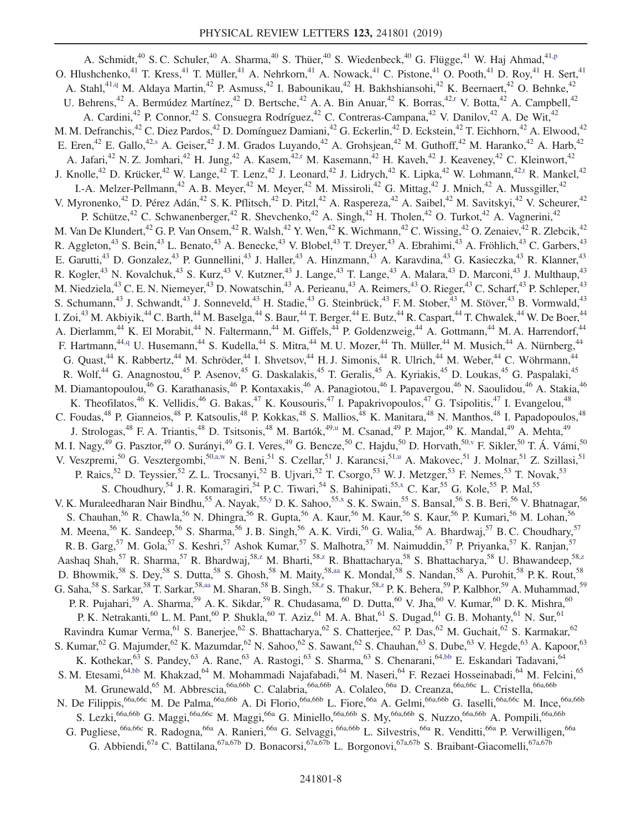<span id="page-7-9"></span><span id="page-7-8"></span><span id="page-7-7"></span><span id="page-7-6"></span><span id="page-7-5"></span><span id="page-7-4"></span><span id="page-7-3"></span><span id="page-7-2"></span><span id="page-7-1"></span><span id="page-7-0"></span>A. Schmidt,<sup>40</sup> S. C. Schuler,<sup>40</sup> A. Sharma,<sup>40</sup> S. Thüer,<sup>40</sup> S. Wiedenbeck,<sup>40</sup> G. Flügge,<sup>41</sup> W. Haj Ahmad,<sup>41[,p](#page-16-8)</sup> O. Hlushchenko,<sup>41</sup> T. Kress,<sup>41</sup> T. Müller,<sup>41</sup> A. Nehrkorn,<sup>41</sup> A. Nowack,<sup>41</sup> C. Pistone,<sup>41</sup> O. Pooth,<sup>41</sup> D. Roy,<sup>41</sup> H. Sert,<sup>41</sup> A. Stahl,<sup>4[1,q](#page-16-9)</sup> M. Aldaya Martin,<sup>42</sup> P. Asmuss,<sup>42</sup> I. Babounikau,<sup>42</sup> H. Bakhshiansohi,<sup>42</sup> K. Beernaert,<sup>42</sup> O. Behnke,<sup>42</sup> U. Behrens,<sup>42</sup> A. Bermúdez Martínez,<sup>42</sup> D. Bertsche,<sup>42</sup> A. A. Bin Anuar,<sup>42</sup> K. Borras,<sup>4[2,r](#page-16-10)</sup> V. Botta,<sup>42</sup> A. Campbell,<sup>42</sup> A. Cardini,<sup>42</sup> P. Connor,<sup>42</sup> S. Consuegra Rodríguez,<sup>42</sup> C. Contreras-Campana,<sup>42</sup> V. Danilov,<sup>42</sup> A. De Wit,<sup>42</sup> M. M. Defranchis,<sup>42</sup> C. Diez Pardos,<sup>42</sup> D. Domínguez Damiani,<sup>42</sup> G. Eckerlin,<sup>42</sup> D. Eckstein,<sup>42</sup> T. Eichhorn,<sup>42</sup> A. Elwood,<sup>42</sup> E. Eren,<sup>42</sup> E. Gallo,<sup>42[,s](#page-16-11)</sup> A. Geiser,<sup>42</sup> J. M. Grados Luyando,<sup>42</sup> A. Grohsjean,<sup>42</sup> M. Guthoff,<sup>42</sup> M. Haranko,<sup>42</sup> A. Harb,<sup>42</sup> A. Jafari,<sup>42</sup> N. Z. Jomhari,<sup>42</sup> H. Jung,<sup>42</sup> A. Kasem,<sup>42[,r](#page-16-10)</sup> M. Kasemann,<sup>42</sup> H. Kaveh,<sup>42</sup> J. Keaveney,<sup>42</sup> C. Kleinwort,<sup>42</sup> J. Knolle,<sup>42</sup> D. Krücker,<sup>42</sup> W. Lange,<sup>42</sup> T. Lenz,<sup>42</sup> J. Leonard,<sup>42</sup> J. Lidrych,<sup>42</sup> K. Lipka,<sup>42</sup> W. Lohmann,<sup>4[2,t](#page-16-12)</sup> R. Mankel,<sup>42</sup> I.-A. Melzer-Pellmann,<sup>42</sup> A. B. Meyer,<sup>42</sup> M. Meyer,<sup>42</sup> M. Missiroli,<sup>42</sup> G. Mittag,<sup>42</sup> J. Mnich,<sup>42</sup> A. Mussgiller,<sup>42</sup> V. Myronenko,<sup>42</sup> D. Pérez Adán,<sup>42</sup> S. K. Pflitsch,<sup>42</sup> D. Pitzl,<sup>42</sup> A. Raspereza,<sup>42</sup> A. Saibel,<sup>42</sup> M. Savitskyi,<sup>42</sup> V. Scheurer,<sup>42</sup> P. Schütze,<sup>42</sup> C. Schwanenberger,<sup>42</sup> R. Shevchenko,<sup>42</sup> A. Singh,<sup>42</sup> H. Tholen,<sup>42</sup> O. Turkot,<sup>42</sup> A. Vagnerini,<sup>42</sup> M. Van De Klundert,<sup>42</sup> G. P. Van Onsem,<sup>42</sup> R. Walsh,<sup>42</sup> Y. Wen,<sup>42</sup> K. Wichmann,<sup>42</sup> C. Wissing,<sup>42</sup> O. Zenaiev,<sup>42</sup> R. Zlebcik,<sup>42</sup> R. Aggleton,<sup>43</sup> S. Bein,<sup>43</sup> L. Benato,<sup>43</sup> A. Benecke,<sup>43</sup> V. Blobel,<sup>43</sup> T. Dreyer,<sup>43</sup> A. Ebrahimi,<sup>43</sup> A. Fröhlich,<sup>43</sup> C. Garbers,<sup>43</sup> E. Garutti,<sup>43</sup> D. Gonzalez,<sup>43</sup> P. Gunnellini,<sup>43</sup> J. Haller,<sup>43</sup> A. Hinzmann,<sup>43</sup> A. Karavdina,<sup>43</sup> G. Kasieczka,<sup>43</sup> R. Klanner,<sup>43</sup> R. Kogler,<sup>43</sup> N. Kovalchuk,<sup>43</sup> S. Kurz,<sup>43</sup> V. Kutzner,<sup>43</sup> J. Lange,<sup>43</sup> T. Lange,<sup>43</sup> A. Malara,<sup>43</sup> D. Marconi,<sup>43</sup> J. Multhaup,<sup>43</sup> M. Niedziela,<sup>43</sup> C. E. N. Niemeyer,<sup>43</sup> D. Nowatschin,<sup>43</sup> A. Perieanu,<sup>43</sup> A. Reimers,<sup>43</sup> O. Rieger,<sup>43</sup> C. Scharf,<sup>43</sup> P. Schleper,<sup>43</sup> S. Schumann,<sup>43</sup> J. Schwandt,<sup>43</sup> J. Sonneveld,<sup>43</sup> H. Stadie,<sup>43</sup> G. Steinbrück,<sup>43</sup> F. M. Stober,<sup>43</sup> M. Stöver,<sup>43</sup> B. Vormwald,<sup>43</sup> I. Zoi,<sup>43</sup> M. Akbiyik,<sup>44</sup> C. Barth,<sup>44</sup> M. Baselga,<sup>44</sup> S. Baur,<sup>44</sup> T. Berger,<sup>44</sup> E. Butz,<sup>44</sup> R. Caspart,<sup>44</sup> T. Chwalek,<sup>44</sup> W. De Boer,<sup>44</sup> A. Dierlamm,<sup>44</sup> K. El Morabit,<sup>44</sup> N. Faltermann,<sup>44</sup> M. Giffels,<sup>44</sup> P. Goldenzweig,<sup>44</sup> A. Gottmann,<sup>44</sup> M. A. Harrendorf,<sup>44</sup> F. Hartmann,<sup>4[4,q](#page-16-9)</sup> U. Husemann,<sup>44</sup> S. Kudella,<sup>44</sup> S. Mitra,<sup>44</sup> M. U. Mozer,<sup>44</sup> Th. Müller,<sup>44</sup> M. Musich,<sup>44</sup> A. Nürnberg,<sup>44</sup> G. Quast,<sup>44</sup> K. Rabbertz,<sup>44</sup> M. Schröder,<sup>44</sup> I. Shvetsov,<sup>44</sup> H. J. Simonis,<sup>44</sup> R. Ulrich,<sup>44</sup> M. Weber,<sup>44</sup> C. Wöhrmann,<sup>44</sup> R. Wolf,<sup>44</sup> G. Anagnostou,<sup>45</sup> P. Asenov,<sup>45</sup> G. Daskalakis,<sup>45</sup> T. Geralis,<sup>45</sup> A. Kyriakis,<sup>45</sup> D. Loukas,<sup>45</sup> G. Paspalaki,<sup>45</sup> M. Diamantopoulou,<sup>46</sup> G. Karathanasis,<sup>46</sup> P. Kontaxakis,<sup>46</sup> A. Panagiotou,<sup>46</sup> I. Papavergou,<sup>46</sup> N. Saoulidou,<sup>46</sup> A. Stakia,<sup>46</sup> K. Theofilatos,<sup>46</sup> K. Vellidis,<sup>46</sup> G. Bakas,<sup>47</sup> K. Kousouris,<sup>47</sup> I. Papakrivopoulos,<sup>47</sup> G. Tsipolitis,<sup>47</sup> I. Evangelou,<sup>48</sup> C. Foudas,<sup>48</sup> P. Gianneios,<sup>48</sup> P. Katsoulis,<sup>48</sup> P. Kokkas,<sup>48</sup> S. Mallios,<sup>48</sup> K. Manitara,<sup>48</sup> N. Manthos,<sup>48</sup> I. Papadopoulos,<sup>48</sup> J. Strologas,<sup>48</sup> F. A. Triantis,<sup>48</sup> D. Tsitsonis,<sup>48</sup> M. Bartók,<sup>4[9,u](#page-16-13)</sup> M. Csanad,<sup>49</sup> P. Major,<sup>49</sup> K. Mandal,<sup>49</sup> A. Mehta,<sup>49</sup> M. I. Nagy,<sup>49</sup> G. Pasztor,<sup>49</sup> O. Surányi,<sup>49</sup> G. I. Veres,<sup>49</sup> G. Bencze,<sup>50</sup> C. Hajdu,<sup>50</sup> D. Horvath,<sup>5[0,v](#page-16-14)</sup> F. Sikler,<sup>50</sup> T. Á. Vámi,<sup>50</sup> V. Veszpremi,<sup>50</sup> G. Vesztergombi,<sup>5[0,a,w](#page-15-0)</sup> N. Beni,<sup>51</sup> S. Czellar,<sup>51</sup> J. Karancsi,<sup>5[1,u](#page-16-13)</sup> A. Makovec,<sup>51</sup> J. Molnar,<sup>51</sup> Z. Szillasi,<sup>51</sup> P. Raics,<sup>52</sup> D. Teyssier,<sup>52</sup> Z. L. Trocsanyi,<sup>52</sup> B. Ujvari,<sup>52</sup> T. Csorgo,<sup>53</sup> W. J. Metzger,<sup>53</sup> F. Nemes,<sup>53</sup> T. Novak,<sup>53</sup> S. Choudhury,<sup>54</sup> J. R. Komaragiri,<sup>54</sup> P. C. Tiwari,<sup>54</sup> S. Bahinipati,<sup>55[,x](#page-16-15)</sup> C. Kar,<sup>55</sup> G. Kole,<sup>55</sup> P. Mal,<sup>55</sup> V. K. Muraleedharan Nair Bindhu,<sup>55</sup> A. Nayak,<sup>5[5,y](#page-16-16)</sup> D. K. Sahoo,<sup>5[5,x](#page-16-15)</sup> S. K. Swain,<sup>55</sup> S. Bansal,<sup>56</sup> S. B. Beri,<sup>56</sup> V. Bhatnagar,<sup>56</sup> S. Chauhan,<sup>56</sup> R. Chawla,<sup>56</sup> N. Dhingra,<sup>56</sup> R. Gupta,<sup>56</sup> A. Kaur,<sup>56</sup> M. Kaur,<sup>56</sup> S. Kaur,<sup>56</sup> P. Kumari,<sup>56</sup> M. Lohan,<sup>56</sup> M. Meena,<sup>56</sup> K. Sandeep,<sup>56</sup> S. Sharma,<sup>56</sup> J. B. Singh,<sup>56</sup> A. K. Virdi,<sup>56</sup> G. Walia,<sup>56</sup> A. Bhardwaj,<sup>57</sup> B. C. Choudhary,<sup>57</sup> R. B. Garg,<sup>57</sup> M. Gola,<sup>57</sup> S. Keshri,<sup>57</sup> Ashok Kumar,<sup>57</sup> S. Malhotra,<sup>57</sup> M. Naimuddin,<sup>57</sup> P. Priyanka,<sup>57</sup> K. Ranjan,<sup>57</sup> Aashaq Shah,<sup>57</sup> R. Sharma,<sup>57</sup> R. Bhardwaj,<sup>5[8,z](#page-16-17)</sup> M. Bharti,<sup>58,z</sup> R. Bhattacharya,<sup>58</sup> S. Bhattacharya,<sup>58</sup> U. Bhawandeep,<sup>58,z</sup> D. Bhowmik,<sup>58</sup> S. Dey,<sup>58</sup> S. Dutta,<sup>58</sup> S. Ghosh,<sup>58</sup> M. Maity,<sup>5[8,aa](#page-16-18)</sup> K. Mondal,<sup>58</sup> S. Nandan,<sup>58</sup> A. Purohit,<sup>58</sup> P. K. Rout,<sup>58</sup> G. Saha,  $^{58}$  S. Sarkar,  $^{58}$  T. Sarkar,  $^{58}$ ,  $^{38}$  M. Sharan,  $^{58}$  B. Singh,  $^{58}$  S. Thakur,  $^{58}$  P. K. Behera,  $^{59}$  P. Kalbhor,  $^{59}$  A. Muhammad,  $^{59}$ P. R. Pujahari,<sup>59</sup> A. Sharma,<sup>59</sup> A. K. Sikdar,<sup>59</sup> R. Chudasama,<sup>60</sup> D. Dutta,<sup>60</sup> V. Jha,<sup>60</sup> V. Kumar,<sup>60</sup> D. K. Mishra,<sup>60</sup> P. K. Netrakanti,<sup>60</sup> L. M. Pant,<sup>60</sup> P. Shukla,<sup>60</sup> T. Aziz,<sup>61</sup> M. A. Bhat,<sup>61</sup> S. Dugad,<sup>61</sup> G. B. Mohanty,<sup>61</sup> N. Sur,<sup>61</sup> Ravindra Kumar Verma, <sup>61</sup> S. Banerjee, <sup>62</sup> S. Bhattacharya, <sup>62</sup> S. Chatterjee, <sup>62</sup> P. Das, <sup>62</sup> M. Guchait, <sup>62</sup> S. Karmakar, <sup>62</sup> S. Kumar,<sup>62</sup> G. Majumder,<sup>62</sup> K. Mazumdar,<sup>62</sup> N. Sahoo,<sup>62</sup> S. Sawant,<sup>62</sup> S. Chauhan,<sup>63</sup> S. Dube,<sup>63</sup> V. Hegde,<sup>63</sup> A. Kapoor,<sup>63</sup> K. Kothekar,<sup>63</sup> S. Pandey,<sup>63</sup> A. Rane,<sup>63</sup> A. Rastogi,<sup>63</sup> S. Sharma,<sup>63</sup> S. Chenarani,<sup>6[4,bb](#page-16-19)</sup> E. Eskandari Tadavani,<sup>64</sup> S. M. Etesami, <sup>6[4,bb](#page-16-19)</sup> M. Khakzad, <sup>64</sup> M. Mohammadi Najafabadi, <sup>64</sup> M. Naseri, <sup>64</sup> F. Rezaei Hosseinabadi, <sup>64</sup> M. Felcini, <sup>65</sup> M. Grunewald,<sup>65</sup> M. Abbrescia,<sup>66a,66b</sup> C. Calabria,<sup>66a,66b</sup> A. Colaleo,<sup>66a</sup> D. Creanza,<sup>66a,66c</sup> L. Cristella,<sup>66a,66b</sup> N. De Filippis, <sup>66a,66c</sup> M. De Palma, <sup>66a,66b</sup> A. Di Florio, <sup>66a,66b</sup> L. Fiore, <sup>66a</sup> A. Gelmi, <sup>66a,66b</sup> G. Iaselli, <sup>66a,66c</sup> M. Ince, <sup>66a,66b</sup> S. Lezki,<sup>66a,66b</sup> G. Maggi,<sup>66a,66c</sup> M. Maggi,<sup>66a</sup> G. Miniello,<sup>66a,66b</sup> S. My,<sup>66a,66b</sup> S. Nuzzo,<sup>66a,66b</sup> A. Pompili,<sup>66a,66b</sup> G. Pugliese,<sup>66a,66c</sup> R. Radogna,<sup>66a</sup> A. Ranieri,<sup>66a</sup> G. Selvaggi,<sup>66a,66b</sup> L. Silvestris,<sup>66a</sup> R. Venditti,<sup>66a</sup> P. Verwilligen,<sup>66a</sup> G. Abbiendi,<sup>67a</sup> C. Battilana,<sup>67a,67b</sup> D. Bonacorsi,<sup>67a,67b</sup> L. Borgonovi,<sup>67a,67b</sup> S. Braibant-Giacomelli,<sup>67a,67b</sup>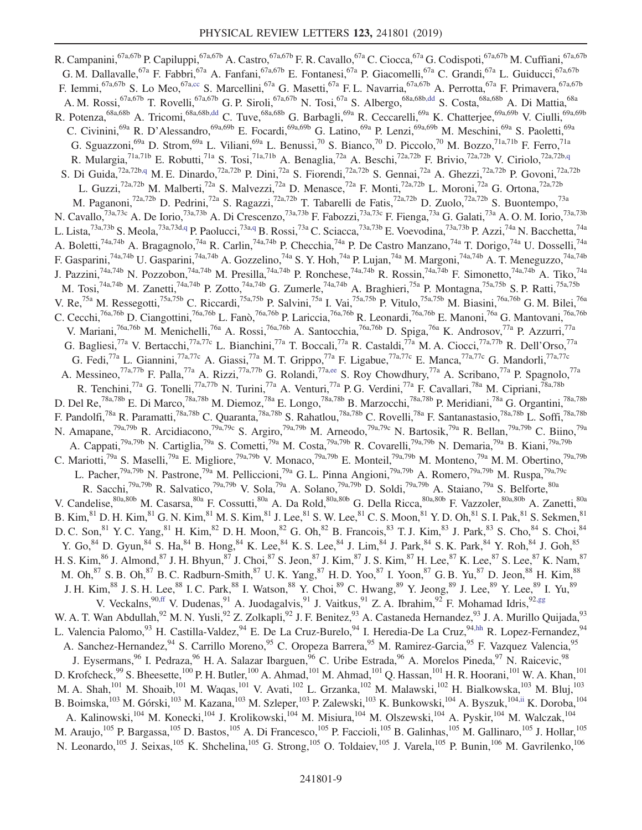<span id="page-8-5"></span><span id="page-8-4"></span><span id="page-8-3"></span><span id="page-8-2"></span><span id="page-8-1"></span><span id="page-8-0"></span>R. Campanini,<sup>67a,67b</sup> P. Capiluppi,<sup>67a,67b</sup> A. Castro,<sup>67a,67b</sup> F. R. Cavallo,<sup>67a</sup> C. Ciocca,<sup>67a</sup> G. Codispoti,<sup>67a,67b</sup> M. Cuffiani,<sup>67a,67b</sup> G. M. Dallavalle, <sup>67a</sup> F. Fabbri, <sup>67a</sup> A. Fanfani, <sup>67a, 67b</sup> E. Fontanesi, <sup>67a</sup> P. Giacomelli, <sup>67a</sup> C. Grandi, <sup>67a</sup> L. Guiducci, <sup>67a, 67b</sup> F. Iemmi, <sup>67a,67b</sup> S. Lo Meo, <sup>67a[,cc](#page-16-20)</sup> S. Marcellini, <sup>67a</sup> G. Masetti, <sup>67a</sup> F. L. Navarria, <sup>67a,67b</sup> A. Perrotta, <sup>67a</sup> F. Primavera, <sup>67a,67b</sup> A. M. Rossi,<sup>67a,67b</sup> T. Rovelli,<sup>67a,67b</sup> G. P. Siroli,<sup>67a,67b</sup> N. Tosi,<sup>67a</sup> S. Albergo,<sup>68a,68[b,dd](#page-16-21)</sup> S. Costa,<sup>68a,68b</sup> A. Di Mattia,<sup>68a</sup> R. Potenza,<sup>68a,68b</sup> A. Tricomi,<sup>68a,68b[,dd](#page-16-21)</sup> C. Tuve,<sup>68a,68b</sup> G. Barbagli,<sup>69a</sup> R. Ceccarelli,<sup>69a</sup> K. Chatterjee,<sup>69a,69b</sup> V. Ciulli,<sup>69a,69b</sup> C. Civinini,<sup>69a</sup> R. D'Alessandro,<sup>69a,69b</sup> E. Focardi,<sup>69a,69b</sup> G. Latino,<sup>69a</sup> P. Lenzi,<sup>69a,69b</sup> M. Meschini,<sup>69a</sup> S. Paoletti,<sup>69a</sup> G. Sguazzoni,<sup>69a</sup> D. Strom,<sup>69a</sup> L. Viliani,<sup>69a</sup> L. Benussi,<sup>70</sup> S. Bianco,<sup>70</sup> D. Piccolo,<sup>70</sup> M. Bozzo,<sup>71a,71b</sup> F. Ferro,<sup>71a</sup> R. Mulargia,<sup>71a,71b</sup> E. Robutti,<sup>71a</sup> S. Tosi,<sup>71a,71b</sup> A. Benaglia,<sup>72a</sup> A. Beschi,<sup>72a,72b</sup> F. Brivio,<sup>72a,72b</sup> V. Ciriolo,<sup>72a,72b[,q](#page-16-9)</sup> S. Di Guida,<sup>72a,72[b,q](#page-16-9)</sup> M. E. Dinardo,<sup>72a,72b</sup> P. Dini,<sup>72a</sup> S. Fiorendi,<sup>72a,72b</sup> S. Gennai,<sup>72a</sup> A. Ghezzi,<sup>72a,72b</sup> P. Govoni,<sup>72a,72b</sup> L. Guzzi,<sup>72a,72b</sup> M. Malberti,<sup>72a</sup> S. Malvezzi,<sup>72a</sup> D. Menasce,<sup>72a</sup> F. Monti,<sup>72a,72b</sup> L. Moroni,<sup>72a</sup> G. Ortona,<sup>72a,72b</sup> M. Paganoni,<sup>72a,72b</sup> D. Pedrini,<sup>72a</sup> S. Ragazzi,<sup>72a,72b</sup> T. Tabarelli de Fatis,<sup>72a,72b</sup> D. Zuolo,<sup>72a,72b</sup> S. Buontempo,<sup>73a</sup> N. Cavallo,<sup>73a,73c</sup> A. De Iorio,<sup>73a,73b</sup> A. Di Crescenzo,<sup>73a,73b</sup> F. Fabozzi,<sup>73a,73c</sup> F. Fienga,<sup>73a</sup> G. Galati,<sup>73a</sup> A. O. M. Iorio,<sup>73a,73b</sup> L. Lista,<sup>73a,73b</sup> S. Meola,<sup>73a,73d[,q](#page-16-9)</sup> P. Paolucci,<sup>73a,q</sup> B. Rossi,<sup>73a</sup> C. Sciacca,<sup>73a,73b</sup> E. Voevodina,<sup>73a,73b</sup> P. Azzi,<sup>74a</sup> N. Bacchetta,<sup>74a</sup> A. Boletti,<sup>74a,74b</sup> A. Bragagnolo,<sup>74a</sup> R. Carlin,<sup>74a,74b</sup> P. Checchia,<sup>74a</sup> P. De Castro Manzano,<sup>74a</sup> T. Dorigo,<sup>74a</sup> U. Dosselli,<sup>74a</sup> F. Gasparini,<sup>74a,74b</sup> U. Gasparini,<sup>74a,74b</sup> A. Gozzelino,<sup>74a</sup> S. Y. Hoh,<sup>74a</sup> P. Lujan,<sup>74a</sup> M. Margoni,<sup>74a,74b</sup> A. T. Meneguzzo,<sup>74a,74b</sup> J. Pazzini,<sup>74a,74b</sup> N. Pozzobon,<sup>74a,74b</sup> M. Presilla,<sup>74a,74b</sup> P. Ronchese,<sup>74a,74b</sup> R. Rossin,<sup>74a,74b</sup> F. Simonetto,<sup>74a,74b</sup> A. Tiko,<sup>74a</sup> M. Tosi,<sup>74a,74b</sup> M. Zanetti,<sup>74a,74b</sup> P. Zotto,<sup>74a,74b</sup> G. Zumerle,<sup>74a,74b</sup> A. Braghieri,<sup>75a</sup> P. Montagna,<sup>75a,75b</sup> S. P. Ratti,<sup>75a,75b</sup> V. Re,<sup>75a</sup> M. Ressegotti,<sup>75a,75b</sup> C. Riccardi,<sup>75a,75b</sup> P. Salvini,<sup>75a</sup> I. Vai,<sup>75a,75b</sup> P. Vitulo,<sup>75a,75b</sup> M. Biasini,<sup>76a,76b</sup> G. M. Bilei,<sup>76a</sup> C. Cecchi,<sup>76a,76b</sup> D. Ciangottini,<sup>76a,76b</sup> L. Fanò,<sup>76a,76b</sup> P. Lariccia,<sup>76a,76b</sup> R. Leonardi,<sup>76a,76b</sup> E. Manoni,<sup>76a</sup> G. Mantovani,<sup>76a,76b</sup> V. Mariani,<sup>76a,76b</sup> M. Menichelli,<sup>76a</sup> A. Rossi,<sup>76a,76b</sup> A. Santocchia,<sup>76a,76b</sup> D. Spiga,<sup>76a</sup> K. Androsov,<sup>77a</sup> P. Azzurri,<sup>77a</sup> G. Bagliesi,<sup>77a</sup> V. Bertacchi,<sup>77a,77c</sup> L. Bianchini,<sup>77a</sup> T. Boccali,<sup>77a</sup> R. Castaldi,<sup>77a</sup> M. A. Ciocci,<sup>77a,77b</sup> R. Dell'Orso,<sup>77a</sup> G. Fedi,<sup>77a</sup> L. Giannini,<sup>77a,77c</sup> A. Giassi,<sup>77a</sup> M. T. Grippo,<sup>77a</sup> F. Ligabue,<sup>77a,77c</sup> E. Manca,<sup>77a,77c</sup> G. Mandorli,<sup>77a,77c</sup> A. Messineo,<sup>77a,77b</sup> F. Palla,<sup>77a</sup> A. Rizzi,<sup>77a,77b</sup> G. Rolandi,<sup>77[a,ee](#page-16-22)</sup> S. Roy Chowdhury,<sup>77a</sup> A. Scribano,<sup>77a</sup> P. Spagnolo,<sup>77a</sup> R. Tenchini,<sup>77a</sup> G. Tonelli,<sup>77a,77b</sup> N. Turini,<sup>77a</sup> A. Venturi,<sup>77a</sup> P. G. Verdini,<sup>77a</sup> F. Cavallari,<sup>78a</sup> M. Cipriani,<sup>78a,78b</sup> D. Del Re,<sup>78a,78b</sup> E. Di Marco,<sup>78a,78b</sup> M. Diemoz,<sup>78a</sup> E. Longo,<sup>78a,78b</sup> B. Marzocchi,<sup>78a,78b</sup> P. Meridiani,<sup>78a</sup> G. Organtini,<sup>78a,78b</sup> F. Pandolfi,<sup>78a</sup> R. Paramatti,<sup>78a,78b</sup> C. Quaranta,<sup>78a,78b</sup> S. Rahatlou,<sup>78a,78b</sup> C. Rovelli,<sup>78a</sup> F. Santanastasio,<sup>78a,78b</sup> L. Soffi,<sup>78a,78b</sup> N. Amapane,<sup>79a,79b</sup> R. Arcidiacono,<sup>79a,79c</sup> S. Argiro,<sup>79a,79b</sup> M. Arneodo,<sup>79a,79c</sup> N. Bartosik,<sup>79a</sup> R. Bellan,<sup>79a,79b</sup> C. Biino,<sup>79a</sup> A. Cappati,<sup>79a,79b</sup> N. Cartiglia,<sup>79a</sup> S. Cometti,<sup>79a</sup> M. Costa,<sup>79a,79b</sup> R. Covarelli,<sup>79a,79b</sup> N. Demaria,<sup>79a</sup> B. Kiani,<sup>79a,79b</sup> C. Mariotti,<sup>79a</sup> S. Maselli,<sup>79a</sup> E. Migliore,<sup>79a,79b</sup> V. Monaco,<sup>79a,79b</sup> E. Monteil,<sup>79a,79b</sup> M. Monteno,<sup>79a</sup> M. M. Obertino,<sup>79a,79b</sup> L. Pacher,<sup>79a,79b</sup> N. Pastrone,<sup>79a</sup> M. Pelliccioni,<sup>79a</sup> G. L. Pinna Angioni,<sup>79a,79b</sup> A. Romero,<sup>79a,79b</sup> M. Ruspa,<sup>79a,79c</sup> R. Sacchi,<sup>79a,79b</sup> R. Salvatico,<sup>79a,79b</sup> V. Sola,<sup>79a</sup> A. Solano,<sup>79a,79b</sup> D. Soldi,<sup>79a,79b</sup> A. Staiano,<sup>79a</sup> S. Belforte,<sup>80a</sup> V. Candelise,<sup>80a,80b</sup> M. Casarsa,<sup>80a</sup> F. Cossutti,<sup>80a</sup> A. Da Rold,<sup>80a,80b</sup> G. Della Ricca,<sup>80a,80b</sup> F. Vazzoler,<sup>80a,80b</sup> A. Zanetti,<sup>80a</sup> B. Kim, ${}^{81}$  D. H. Kim, ${}^{81}$  G. N. Kim, ${}^{81}$  M. S. Kim, ${}^{81}$  J. Lee, ${}^{81}$  S. W. Lee, ${}^{81}$  C. S. Moon, ${}^{81}$  Y. D. Oh, ${}^{81}$  S. I. Pak, ${}^{81}$  S. Sekmen, ${}^{81}$ D. C. Son,  $81$  Y. C. Yang,  $81$  H. Kim,  $82$  D. H. Moon,  $82$  G. Oh,  $82$  B. Francois,  $83$  T. J. Kim,  $83$  J. Park,  $83$  S. Cho,  $84$  S. Choi,  $84$ Y. Go,<sup>84</sup> D. Gyun,<sup>84</sup> S. Ha,<sup>84</sup> B. Hong,<sup>84</sup> K. Lee,<sup>84</sup> K. S. Lee,<sup>84</sup> J. Lim,<sup>84</sup> J. Park,<sup>84</sup> S. K. Park,<sup>84</sup> Y. Roh,<sup>84</sup> J. Goh,<sup>85</sup> H. S. Kim,  $86$  J. Almond,  $87$  J. H. Bhyun,  $87$  J. Choi,  $87$  S. Jeon,  $87$  J. Kim,  $87$  J. S. Kim,  $87$  H. Lee,  $87$  K. Lee,  $87$  S. Lee,  $87$  K. Nam,  $87$ M. Oh,  $87$  S. B. Oh,  $87$  B. C. Radburn-Smith,  $87$  U. K. Yang,  $87$  H. D. Yoo,  $87$  I. Yoon,  $87$  G. B. Yu,  $87$  D. Jeon,  $88$  H. Kim,  $88$ J. H. Kim,<sup>88</sup> J. S. H. Lee,<sup>88</sup> I. C. Park,<sup>88</sup> I. Watson,<sup>88</sup> Y. Choi,<sup>89</sup> C. Hwang,<sup>89</sup> Y. Jeong,<sup>89</sup> J. Lee,<sup>89</sup> Y. Lee,<sup>89</sup> I. Yu,<sup>89</sup> V. Veckalns,  $90,$ ff V. Dudenas,  $91$  A. Juodagalvis,  $91$  J. Vaitkus,  $91$  Z. A. Ibrahim,  $92$  F. Mohamad Idris,  $92,$ gg W. A. T. Wan Abdullah,<sup>92</sup> M. N. Yusli,<sup>92</sup> Z. Zolkapli,<sup>92</sup> J. F. Benitez,<sup>93</sup> A. Castaneda Hernandez,<sup>93</sup> J. A. Murillo Quijada,<sup>93</sup> L. Valencia Palomo,<sup>93</sup> H. Castilla-Valdez,<sup>94</sup> E. De La Cruz-Burelo,<sup>94</sup> I. Heredia-De La Cruz,<sup>9[4,hh](#page-16-25)</sup> R. Lopez-Fernandez,<sup>94</sup> A. Sanchez-Hernandez, <sup>94</sup> S. Carrillo Moreno, <sup>95</sup> C. Oropeza Barrera, <sup>95</sup> M. Ramirez-Garcia, <sup>95</sup> F. Vazquez Valencia, <sup>95</sup> J. Eysermans,  $96$  I. Pedraza,  $96$  H. A. Salazar Ibarguen,  $96$  C. Uribe Estrada,  $96$  A. Morelos Pineda,  $97$  N. Raicevic,  $98$ D. Krofcheck,<sup>99</sup> S. Bheesette,<sup>100</sup> P. H. Butler,<sup>100</sup> A. Ahmad,<sup>101</sup> M. Ahmad,<sup>101</sup> Q. Hassan,<sup>101</sup> H. R. Hoorani,<sup>101</sup> W. A. Khan,<sup>101</sup> M. A. Shah,<sup>101</sup> M. Shoaib,<sup>101</sup> M. Waqas,<sup>101</sup> V. Avati,<sup>102</sup> L. Grzanka,<sup>102</sup> M. Malawski,<sup>102</sup> H. Bialkowska,<sup>103</sup> M. Bluj,<sup>103</sup> B. Boimska, <sup>103</sup> M. Górski, <sup>103</sup> M. Kazana, <sup>103</sup> M. Szleper, <sup>103</sup> P. Zalewski, <sup>103</sup> K. Bunkowski, <sup>104</sup> A. Byszuk, <sup>104[,ii](#page-16-26)</sup> K. Doroba, <sup>104</sup> A. Kalinowski,<sup>104</sup> M. Konecki,<sup>104</sup> J. Krolikowski,<sup>104</sup> M. Misiura,<sup>104</sup> M. Olszewski,<sup>104</sup> A. Pyskir,<sup>104</sup> M. Walczak,<sup>104</sup> M. Araujo,<sup>105</sup> P. Bargassa,<sup>105</sup> D. Bastos,<sup>105</sup> A. Di Francesco,<sup>105</sup> P. Faccioli,<sup>105</sup> B. Galinhas,<sup>105</sup> M. Gallinaro,<sup>105</sup> J. Hollar,<sup>105</sup> N. Leonardo,<sup>105</sup> J. Seixas,<sup>105</sup> K. Shchelina,<sup>105</sup> G. Strong,<sup>105</sup> O. Toldaiev,<sup>105</sup> J. Varela,<sup>105</sup> P. Bunin,<sup>106</sup> M. Gavrilenko,<sup>106</sup>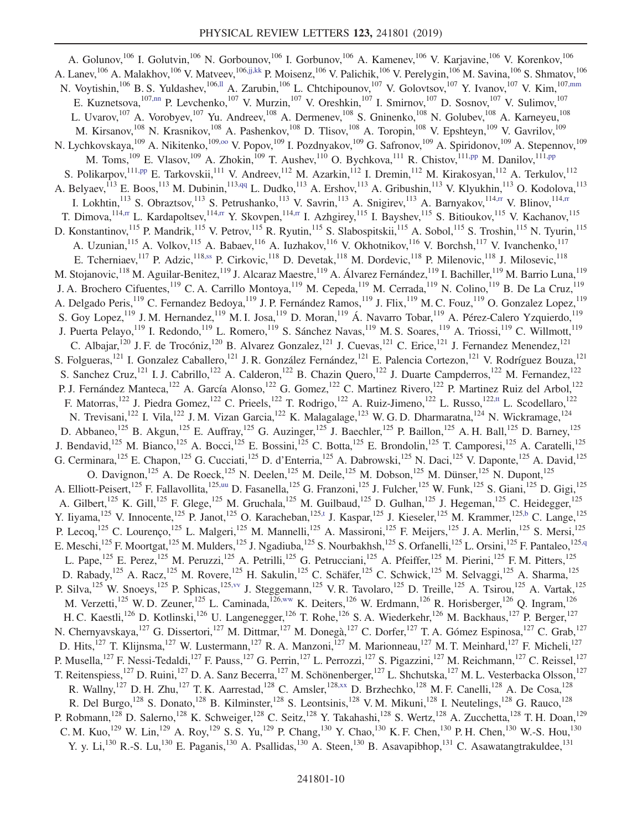<span id="page-9-12"></span><span id="page-9-11"></span><span id="page-9-10"></span><span id="page-9-9"></span><span id="page-9-8"></span><span id="page-9-7"></span><span id="page-9-6"></span><span id="page-9-5"></span><span id="page-9-4"></span><span id="page-9-3"></span><span id="page-9-2"></span><span id="page-9-1"></span><span id="page-9-0"></span>A. Golunov,<sup>106</sup> I. Golutvin,<sup>106</sup> N. Gorbounov,<sup>106</sup> I. Gorbunov,<sup>106</sup> A. Kamenev,<sup>106</sup> V. Karjavine,<sup>106</sup> V. Korenkov,<sup>106</sup> A. Lanev, <sup>106</sup> A. Malakhov, <sup>106</sup> V. Matveev, <sup>10[6,jj,kk](#page-16-27)</sup> P. Moisenz, <sup>106</sup> V. Palichik, <sup>106</sup> V. Perelygin, <sup>106</sup> M. Savina, <sup>106</sup> S. Shmatov, <sup>106</sup> N. Voytishin,<sup>106</sup> B. S. Yuldashev,<sup>10[6,ll](#page-16-28)</sup> A. Zarubin,<sup>106</sup> L. Chtchipounov,<sup>107</sup> V. Golovtsov,<sup>107</sup> Y. Ivanov,<sup>107</sup> V. Kim,<sup>107[,mm](#page-16-29)</sup> E. Kuznetsova,  $^{107}$ [,nn](#page-16-30) P. Levchenko,  $^{107}$  V. Murzin,  $^{107}$  V. Oreshkin,  $^{107}$  I. Smirnov,  $^{107}$  D. Sosnov,  $^{107}$  V. Sulimov,  $^{107}$ L. Uvarov,<sup>107</sup> A. Vorobyev,<sup>107</sup> Yu. Andreev,<sup>108</sup> A. Dermenev,<sup>108</sup> S. Gninenko,<sup>108</sup> N. Golubev,<sup>108</sup> A. Karneyeu,<sup>108</sup> M. Kirsanov,<sup>108</sup> N. Krasnikov,<sup>108</sup> A. Pashenkov,<sup>108</sup> D. Tlisov,<sup>108</sup> A. Toropin,<sup>108</sup> V. Epshteyn,<sup>109</sup> V. Gavrilov,<sup>109</sup> N. Lychkovskaya,<sup>109</sup> A. Nikitenko,<sup>109,00</sup> V. Popov,<sup>109</sup> I. Pozdnyakov,<sup>109</sup> G. Safronov,<sup>109</sup> A. Spiridonov,<sup>109</sup> A. Stepennov,<sup>109</sup> M. Toms,<sup>109</sup> E. Vlasov,<sup>109</sup> A. Zhokin,<sup>109</sup> T. Aushev,<sup>110</sup> O. Bychkova,<sup>111</sup> R. Chistov,<sup>11[1,pp](#page-16-32)</sup> M. Danilov,<sup>111,pp</sup> S. Polikarpov,<sup>111[,pp](#page-16-32)</sup> E. Tarkovskii,<sup>111</sup> V. Andreev,<sup>112</sup> M. Azarkin,<sup>112</sup> I. Dremin,<sup>112</sup> M. Kirakosyan,<sup>112</sup> A. Terkulov,<sup>112</sup> A. Belyaev,<sup>113</sup> E. Boos,<sup>113</sup> M. Dubinin,<sup>11[3,qq](#page-16-33)</sup> L. Dudko,<sup>113</sup> A. Ershov,<sup>113</sup> A. Gribushin,<sup>113</sup> V. Klyukhin,<sup>113</sup> O. Kodolova,<sup>113</sup> I. Lokhtin,<sup>113</sup> S. Obraztsov,<sup>113</sup> S. Petrushanko,<sup>113</sup> V. Savrin,<sup>113</sup> A. Snigirev,<sup>113</sup> A. Barnyakov,<sup>11[4,rr](#page-16-34)</sup> V. Blinov,<sup>114[,rr](#page-16-34)</sup> T. Dimova, <sup>11[4,rr](#page-16-34)</sup> L. Kardapoltsev, <sup>114[,rr](#page-16-34)</sup> Y. Skovpen, <sup>114,rr</sup> I. Azhgirey, <sup>115</sup> I. Bayshev, <sup>115</sup> S. Bitioukov, <sup>115</sup> V. Kachanov, <sup>115</sup> D. Konstantinov,<sup>115</sup> P. Mandrik,<sup>115</sup> V. Petrov,<sup>115</sup> R. Ryutin,<sup>115</sup> S. Slabospitskii,<sup>115</sup> A. Sobol,<sup>115</sup> S. Troshin,<sup>115</sup> N. Tyurin,<sup>115</sup> A. Uzunian, <sup>115</sup> A. Volkov, <sup>115</sup> A. Babaev, <sup>116</sup> A. Iuzhakov, <sup>116</sup> V. Okhotnikov, <sup>116</sup> V. Borchsh, <sup>117</sup> V. Ivanchenko, <sup>117</sup> E. Tcherniaev, <sup>117</sup> P. Adzic, <sup>118[,ss](#page-16-35)</sup> P. Cirkovic, <sup>118</sup> D. Devetak, <sup>118</sup> M. Dordevic, <sup>118</sup> P. Milenovic, <sup>118</sup> J. Milosevic, <sup>118</sup> M. Stojanovic,<sup>118</sup> M. Aguilar-Benitez,<sup>119</sup> J. Alcaraz Maestre,<sup>119</sup> A. Álvarez Fernández,<sup>119</sup> I. Bachiller,<sup>119</sup> M. Barrio Luna,<sup>119</sup> J. A. Brochero Cifuentes,<sup>119</sup> C. A. Carrillo Montoya,<sup>119</sup> M. Cepeda,<sup>119</sup> M. Cerrada,<sup>119</sup> N. Colino,<sup>119</sup> B. De La Cruz,<sup>119</sup> A. Delgado Peris,<sup>119</sup> C. Fernandez Bedoya,<sup>119</sup> J. P. Fernández Ramos,<sup>119</sup> J. Flix,<sup>119</sup> M. C. Fouz,<sup>119</sup> O. Gonzalez Lopez,<sup>119</sup> S. Goy Lopez,<sup>119</sup> J. M. Hernandez,<sup>119</sup> M. I. Josa,<sup>119</sup> D. Moran,<sup>119</sup> Á. Navarro Tobar,<sup>119</sup> A. Pérez-Calero Yzquierdo,<sup>119</sup> J. Puerta Pelayo,<sup>119</sup> I. Redondo,<sup>119</sup> L. Romero,<sup>119</sup> S. Sánchez Navas,<sup>119</sup> M. S. Soares,<sup>119</sup> A. Triossi,<sup>119</sup> C. Willmott,<sup>119</sup> C. Albajar,<sup>120</sup> J. F. de Trocóniz,<sup>120</sup> B. Alvarez Gonzalez,<sup>121</sup> J. Cuevas,<sup>121</sup> C. Erice,<sup>121</sup> J. Fernandez Menendez,<sup>121</sup> S. Folgueras,<sup>121</sup> I. Gonzalez Caballero,<sup>121</sup> J. R. González Fernández,<sup>121</sup> E. Palencia Cortezon,<sup>121</sup> V. Rodríguez Bouza,<sup>121</sup> S. Sanchez Cruz,<sup>121</sup> I. J. Cabrillo,<sup>122</sup> A. Calderon,<sup>122</sup> B. Chazin Quero,<sup>122</sup> J. Duarte Campderros,<sup>122</sup> M. Fernandez,<sup>122</sup> P. J. Fernández Manteca,<sup>122</sup> A. García Alonso,<sup>122</sup> G. Gomez,<sup>122</sup> C. Martinez Rivero,<sup>122</sup> P. Martinez Ruiz del Arbol,<sup>122</sup> F. Matorras,<sup>122</sup> J. Piedra Gomez,<sup>122</sup> C. Prieels,<sup>122</sup> T. Rodrigo,<sup>122</sup> A. Ruiz-Jimeno,<sup>122</sup> L. Russo,<sup>122[,tt](#page-16-36)</sup> L. Scodellaro,<sup>122</sup> N. Trevisani,<sup>122</sup> I. Vila,<sup>122</sup> J. M. Vizan Garcia,<sup>122</sup> K. Malagalage,<sup>123</sup> W. G. D. Dharmaratna,<sup>124</sup> N. Wickramage,<sup>124</sup> D. Abbaneo,<sup>125</sup> B. Akgun,<sup>125</sup> E. Auffray,<sup>125</sup> G. Auzinger,<sup>125</sup> J. Baechler,<sup>125</sup> P. Baillon,<sup>125</sup> A. H. Ball,<sup>125</sup> D. Barney,<sup>125</sup> J. Bendavid,<sup>125</sup> M. Bianco,<sup>125</sup> A. Bocci,<sup>125</sup> E. Bossini,<sup>125</sup> C. Botta,<sup>125</sup> E. Brondolin,<sup>125</sup> T. Camporesi,<sup>125</sup> A. Caratelli,<sup>125</sup> G. Cerminara, <sup>125</sup> E. Chapon, <sup>125</sup> G. Cucciati, <sup>125</sup> D. d'Enterria, <sup>125</sup> A. Dabrowski, <sup>125</sup> N. Daci, <sup>125</sup> V. Daponte, <sup>125</sup> A. David, <sup>125</sup> O. Davignon,<sup>125</sup> A. De Roeck,<sup>125</sup> N. Deelen,<sup>125</sup> M. Deile,<sup>125</sup> M. Dobson,<sup>125</sup> M. Dünser,<sup>125</sup> N. Dupont,<sup>125</sup> A. Elliott-Peisert,<sup>125</sup> F. Fallavollita,<sup>12[5,uu](#page-16-37)</sup> D. Fasanella,<sup>125</sup> G. Franzoni,<sup>125</sup> J. Fulcher,<sup>125</sup> W. Funk,<sup>125</sup> S. Giani,<sup>125</sup> D. Gigi,<sup>125</sup> A. Gilbert,<sup>125</sup> K. Gill,<sup>125</sup> F. Glege,<sup>125</sup> M. Gruchala,<sup>125</sup> M. Guilbaud,<sup>125</sup> D. Gulhan,<sup>125</sup> J. Hegeman,<sup>125</sup> C. Heidegger,<sup>125</sup> Y. Iiyama,<sup>125</sup> V. Innocente,<sup>125</sup> P. Janot,<sup>125</sup> O. Karacheban,<sup>12[5,t](#page-16-12)</sup> J. Kaspar,<sup>125</sup> J. Kieseler,<sup>125</sup> M. Krammer,<sup>125[,b](#page-15-1)</sup> C. Lange,<sup>125</sup> P. Lecoq, <sup>125</sup> C. Lourenço, <sup>125</sup> L. Malgeri, <sup>125</sup> M. Mannelli, <sup>125</sup> A. Massironi, <sup>125</sup> F. Meijers, <sup>125</sup> J. A. Merlin, <sup>125</sup> S. Mersi, <sup>125</sup> E. Meschi,<sup>125</sup> F. Moortgat,<sup>125</sup> M. Mulders,<sup>125</sup> J. Ngadiuba,<sup>125</sup> S. Nourbakhsh,<sup>125</sup> S. Orfanelli,<sup>125</sup> L. Orsini,<sup>125</sup> F. Pantaleo,<sup>125[,q](#page-16-9)</sup> L. Pape,<sup>125</sup> E. Perez,<sup>125</sup> M. Peruzzi,<sup>125</sup> A. Petrilli,<sup>125</sup> G. Petrucciani,<sup>125</sup> A. Pfeiffer,<sup>125</sup> M. Pierini,<sup>125</sup> F.M. Pitters,<sup>125</sup> D. Rabady,<sup>125</sup> A. Racz,<sup>125</sup> M. Rovere,<sup>125</sup> H. Sakulin,<sup>125</sup> C. Schäfer,<sup>125</sup> C. Schwick,<sup>125</sup> M. Selvaggi,<sup>125</sup> A. Sharma,<sup>125</sup> P. Silva,<sup>125</sup> W. Snoeys,<sup>125</sup> P. Sphicas,<sup>125[,vv](#page-16-38)</sup> J. Steggemann,<sup>125</sup> V. R. Tavolaro,<sup>125</sup> D. Treille,<sup>125</sup> A. Tsirou,<sup>125</sup> A. Vartak,<sup>125</sup> M. Verzetti,<sup>125</sup> W. D. Zeuner,<sup>125</sup> L. Caminada,<sup>126[,ww](#page-16-39)</sup> K. Deiters,<sup>126</sup> W. Erdmann,<sup>126</sup> R. Horisberger,<sup>126</sup> Q. Ingram,<sup>126</sup> H. C. Kaestli,<sup>126</sup> D. Kotlinski,<sup>126</sup> U. Langenegger,<sup>126</sup> T. Rohe,<sup>126</sup> S. A. Wiederkehr,<sup>126</sup> M. Backhaus,<sup>127</sup> P. Berger,<sup>127</sup> N. Chernyavskaya, <sup>127</sup> G. Dissertori, <sup>127</sup> M. Dittmar, <sup>127</sup> M. Donegà, <sup>127</sup> C. Dorfer, <sup>127</sup> T. A. Gómez Espinosa, <sup>127</sup> C. Grab, <sup>127</sup> D. Hits,<sup>127</sup> T. Klijnsma,<sup>127</sup> W. Lustermann,<sup>127</sup> R. A. Manzoni,<sup>127</sup> M. Marionneau,<sup>127</sup> M. T. Meinhard,<sup>127</sup> F. Micheli,<sup>127</sup> P. Musella,<sup>127</sup> F. Nessi-Tedaldi,<sup>127</sup> F. Pauss,<sup>127</sup> G. Perrin,<sup>127</sup> L. Perrozzi,<sup>127</sup> S. Pigazzini,<sup>127</sup> M. Reichmann,<sup>127</sup> C. Reissel,<sup>127</sup> T. Reitenspiess,<sup>127</sup> D. Ruini,<sup>127</sup> D. A. Sanz Becerra,<sup>127</sup> M. Schönenberger,<sup>127</sup> L. Shchutska,<sup>127</sup> M. L. Vesterbacka Olsson,<sup>127</sup> R. Wallny,<sup>127</sup> D. H. Zhu,<sup>127</sup> T. K. Aarrestad,<sup>128</sup> C. Amsler,<sup>12[8,xx](#page-16-40)</sup> D. Brzhechko,<sup>128</sup> M. F. Canelli,<sup>128</sup> A. De Cosa,<sup>128</sup> R. Del Burgo,<sup>128</sup> S. Donato,<sup>128</sup> B. Kilminster,<sup>128</sup> S. Leontsinis,<sup>128</sup> V. M. Mikuni,<sup>128</sup> I. Neutelings,<sup>128</sup> G. Rauco,<sup>128</sup> P. Robmann,<sup>128</sup> D. Salerno,<sup>128</sup> K. Schweiger,<sup>128</sup> C. Seitz,<sup>128</sup> Y. Takahashi,<sup>128</sup> S. Wertz,<sup>128</sup> A. Zucchetta,<sup>128</sup> T. H. Doan,<sup>129</sup> C. M. Kuo,<sup>129</sup> W. Lin,<sup>129</sup> A. Roy,<sup>129</sup> S. S. Yu,<sup>129</sup> P. Chang,<sup>130</sup> Y. Chao,<sup>130</sup> K. F. Chen,<sup>130</sup> P. H. Chen,<sup>130</sup> W.-S. Hou,<sup>130</sup> Y. y. Li,<sup>130</sup> R.-S. Lu,<sup>130</sup> E. Paganis,<sup>130</sup> A. Psallidas,<sup>130</sup> A. Steen,<sup>130</sup> B. Asavapibhop,<sup>131</sup> C. Asawatangtrakuldee,<sup>131</sup>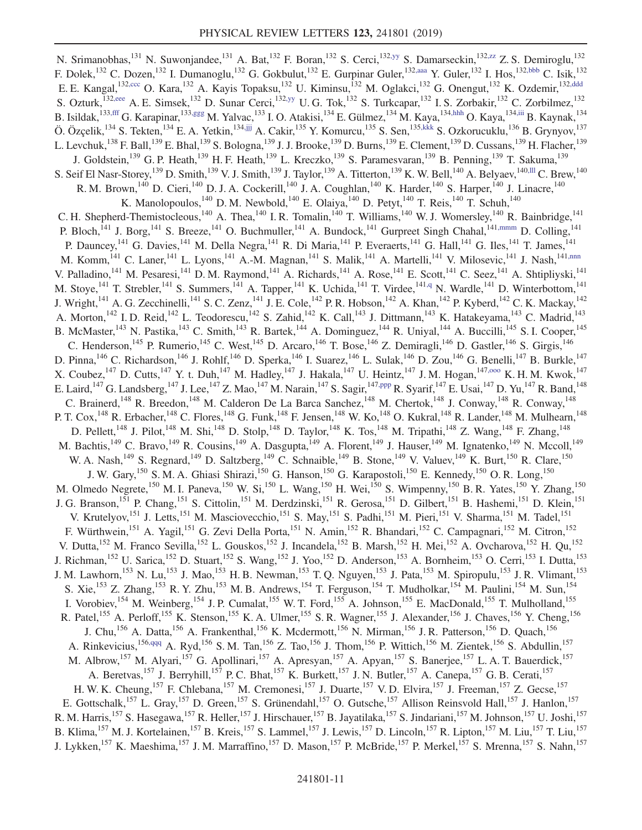<span id="page-10-11"></span><span id="page-10-10"></span><span id="page-10-9"></span><span id="page-10-8"></span><span id="page-10-7"></span><span id="page-10-6"></span><span id="page-10-5"></span><span id="page-10-4"></span><span id="page-10-3"></span><span id="page-10-2"></span><span id="page-10-1"></span><span id="page-10-0"></span>N. Srimanobhas,<sup>131</sup> N. Suwonjandee,<sup>131</sup> A. Bat,<sup>132</sup> F. Boran,<sup>132</sup> S. Cerci,<sup>13[2,yy](#page-16-41)</sup> S. Damarseckin,<sup>13[2,zz](#page-16-42)</sup> Z. S. Demiroglu,<sup>132</sup> F. Dolek,<sup>132</sup> C. Dozen,<sup>132</sup> I. Dumanoglu,<sup>132</sup> G. Gokbulut,<sup>132</sup> E. Gurpinar Guler,<sup>13[2,aaa](#page-16-43)</sup> Y. Guler,<sup>132</sup> I. Hos,<sup>13[2,bbb](#page-16-44)</sup> C. Isik,<sup>132</sup> E. E. Kangal,<sup>132[,ccc](#page-16-45)</sup> O. Kara,<sup>132</sup> A. Kayis Topaksu,<sup>132</sup> U. Kiminsu,<sup>132</sup> M. Oglakci,<sup>132</sup> G. Onengut,<sup>132</sup> K. Ozdemir,<sup>132[,ddd](#page-16-46)</sup> S. Ozturk,<sup>13[2,eee](#page-16-47)</sup> A. E. Simsek,<sup>132</sup> D. Sunar Cerci,<sup>132[,yy](#page-16-41)</sup> U. G. Tok,<sup>132</sup> S. Turkcapar,<sup>132</sup> I. S. Zorbakir,<sup>132</sup> C. Zorbilmez,<sup>132</sup> B. Isildak,<sup>13[3,fff](#page-16-48)</sup> G. Karapinar,<sup>133[,ggg](#page-16-49)</sup> M. Yalvac,<sup>133</sup> I. O. Atakisi,<sup>134</sup> E. Gülmez,<sup>134</sup> M. Kaya,<sup>13[4,hhh](#page-16-50)</sup> O. Kaya,<sup>134[,iii](#page-16-51)</sup> B. Kaynak,<sup>134</sup> Ö. Özçelik,<sup>134</sup> S. Tekten,<sup>134</sup> E. A. Yetkin,<sup>134[,jjj](#page-16-52)</sup> A. Cakir,<sup>135</sup> Y. Komurcu,<sup>135</sup> S. Sen,<sup>13[5,kkk](#page-16-53)</sup> S. Ozkorucuklu,<sup>136</sup> B. Grynyov,<sup>137</sup> L. Levchuk,<sup>138</sup> F. Ball,<sup>139</sup> E. Bhal,<sup>139</sup> S. Bologna,<sup>139</sup> J. J. Brooke,<sup>139</sup> D. Burns,<sup>139</sup> E. Clement,<sup>139</sup> D. Cussans,<sup>139</sup> H. Flacher,<sup>139</sup> J. Goldstein,<sup>139</sup> G. P. Heath,<sup>139</sup> H. F. Heath,<sup>139</sup> L. Kreczko,<sup>139</sup> S. Paramesvaran,<sup>139</sup> B. Penning,<sup>139</sup> T. Sakuma,<sup>139</sup> S. Seif El Nasr-Storey, <sup>139</sup> D. Smith, <sup>139</sup> V. J. Smith, <sup>139</sup> J. Taylor, <sup>139</sup> A. Titterton, <sup>139</sup> K. W. Bell, <sup>140</sup> A. Belyaev, <sup>14[0,lll](#page-16-54)</sup> C. Brew, <sup>140</sup> R. M. Brown,<sup>140</sup> D. Cieri,<sup>140</sup> D. J. A. Cockerill,<sup>140</sup> J. A. Coughlan,<sup>140</sup> K. Harder,<sup>140</sup> S. Harper,<sup>140</sup> J. Linacre,<sup>140</sup> K. Manolopoulos,  $^{140}$  D. M. Newbold,  $^{140}$  E. Olaiya,  $^{140}$  D. Petyt,  $^{140}$  T. Reis,  $^{140}$  T. Schuh,  $^{140}$ C. H. Shepherd-Themistocleous,<sup>140</sup> A. Thea,<sup>140</sup> I. R. Tomalin,<sup>140</sup> T. Williams,<sup>140</sup> W. J. Womersley,<sup>140</sup> R. Bainbridge,<sup>141</sup> P. Bloch,<sup>141</sup> J. Borg,<sup>141</sup> S. Breeze,<sup>141</sup> O. Buchmuller,<sup>141</sup> A. Bundock,<sup>141</sup> Gurpreet Singh Chahal,<sup>141[,mmm](#page-16-55)</sup> D. Colling,<sup>141</sup> P. Dauncey,<sup>141</sup> G. Davies,<sup>141</sup> M. Della Negra,<sup>141</sup> R. Di Maria,<sup>141</sup> P. Everaerts,<sup>141</sup> G. Hall,<sup>141</sup> G. Iles,<sup>141</sup> T. James,<sup>141</sup> M. Komm,<sup>141</sup> C. Laner,<sup>141</sup> L. Lyons,<sup>141</sup> A.-M. Magnan,<sup>141</sup> S. Malik,<sup>141</sup> A. Martelli,<sup>141</sup> V. Milosevic,<sup>141</sup> J. Nash,<sup>141[,nnn](#page-16-56)</sup> V. Palladino,<sup>141</sup> M. Pesaresi,<sup>141</sup> D. M. Raymond,<sup>141</sup> A. Richards,<sup>141</sup> A. Rose,<sup>141</sup> E. Scott,<sup>141</sup> C. Seez,<sup>141</sup> A. Shtipliyski,<sup>141</sup> M. Stoye,<sup>141</sup> T. Strebler,<sup>141</sup> S. Summers,<sup>141</sup> A. Tapper,<sup>141</sup> K. Uchida,<sup>141</sup> T. Virdee,<sup>141[,q](#page-16-9)</sup> N. Wardle,<sup>141</sup> D. Winterbottom,<sup>141</sup> J. Wright,<sup>141</sup> A. G. Zecchinelli,<sup>141</sup> S. C. Zenz,<sup>141</sup> J. E. Cole,<sup>142</sup> P. R. Hobson,<sup>142</sup> A. Khan,<sup>142</sup> P. Kyberd,<sup>142</sup> C. K. Mackay,<sup>142</sup> A. Morton, <sup>142</sup> I. D. Reid, <sup>142</sup> L. Teodorescu, <sup>142</sup> S. Zahid, <sup>142</sup> K. Call, <sup>143</sup> J. Dittmann, <sup>143</sup> K. Hatakeyama, <sup>143</sup> C. Madrid, <sup>143</sup> B. McMaster,<sup>143</sup> N. Pastika,<sup>143</sup> C. Smith,<sup>143</sup> R. Bartek,<sup>144</sup> A. Dominguez,<sup>144</sup> R. Uniyal,<sup>144</sup> A. Buccilli,<sup>145</sup> S. I. Cooper,<sup>145</sup> C. Henderson,<sup>145</sup> P. Rumerio,<sup>145</sup> C. West,<sup>145</sup> D. Arcaro,<sup>146</sup> T. Bose,<sup>146</sup> Z. Demiragli,<sup>146</sup> D. Gastler,<sup>146</sup> S. Girgis,<sup>146</sup> D. Pinna,  $^{146}$  C. Richardson,  $^{146}$  J. Rohlf,  $^{146}$  D. Sperka,  $^{146}$  I. Suarez,  $^{146}$  L. Sulak,  $^{146}$  D. Zou,  $^{146}$  G. Benelli,  $^{147}$  B. Burkle,  $^{147}$ X. Coubez,  $^{147}$  D. Cutts,  $^{147}$  Y. t. Duh,  $^{147}$  M. Hadley,  $^{147}$  J. Hakala,  $^{147}$  U. Heintz,  $^{147}$  J. M. Hogan,  $^{147,000}$  K. H. M. Kwok,  $^{147}$ E. Laird,<sup>147</sup> G. Landsberg,<sup>147</sup> J. Lee,<sup>147</sup> Z. Mao,<sup>147</sup> M. Narain,<sup>147</sup> S. Sagir,<sup>147[,ppp](#page-17-0)</sup> R. Syarif,<sup>147</sup> E. Usai,<sup>147</sup> D. Yu,<sup>147</sup> R. Band,<sup>148</sup> C. Brainerd,<sup>148</sup> R. Breedon,<sup>148</sup> M. Calderon De La Barca Sanchez,<sup>148</sup> M. Chertok,<sup>148</sup> J. Conway,<sup>148</sup> R. Conway,<sup>148</sup> P. T. Cox, <sup>148</sup> R. Erbacher, <sup>148</sup> C. Flores, <sup>148</sup> G. Funk, <sup>148</sup> F. Jensen, <sup>148</sup> W. Ko, <sup>148</sup> O. Kukral, <sup>148</sup> R. Lander, <sup>148</sup> M. Mulhearn, <sup>148</sup> D. Pellett,<sup>148</sup> J. Pilot,<sup>148</sup> M. Shi,<sup>148</sup> D. Stolp,<sup>148</sup> D. Taylor,<sup>148</sup> K. Tos,<sup>148</sup> M. Tripathi,<sup>148</sup> Z. Wang,<sup>148</sup> F. Zhang,<sup>148</sup> M. Bachtis,<sup>149</sup> C. Bravo,<sup>149</sup> R. Cousins,<sup>149</sup> A. Dasgupta,<sup>149</sup> A. Florent,<sup>149</sup> J. Hauser,<sup>149</sup> M. Ignatenko,<sup>149</sup> N. Mccoll,<sup>149</sup> W. A. Nash,<sup>149</sup> S. Regnard,<sup>149</sup> D. Saltzberg,<sup>149</sup> C. Schnaible,<sup>149</sup> B. Stone,<sup>149</sup> V. Valuev,<sup>149</sup> K. Burt,<sup>150</sup> R. Clare,<sup>150</sup> J. W. Gary,<sup>150</sup> S. M. A. Ghiasi Shirazi,<sup>150</sup> G. Hanson,<sup>150</sup> G. Karapostoli,<sup>150</sup> E. Kennedy,<sup>150</sup> O. R. Long,<sup>150</sup> M. Olmedo Negrete,<sup>150</sup> M. I. Paneva,<sup>150</sup> W. Si,<sup>150</sup> L. Wang,<sup>150</sup> H. Wei,<sup>150</sup> S. Wimpenny,<sup>150</sup> B. R. Yates,<sup>150</sup> Y. Zhang,<sup>150</sup> J. G. Branson,<sup>151</sup> P. Chang,<sup>151</sup> S. Cittolin,<sup>151</sup> M. Derdzinski,<sup>151</sup> R. Gerosa,<sup>151</sup> D. Gilbert,<sup>151</sup> B. Hashemi,<sup>151</sup> D. Klein,<sup>151</sup> V. Krutelyov,<sup>151</sup> J. Letts,<sup>151</sup> M. Masciovecchio,<sup>151</sup> S. May,<sup>151</sup> S. Padhi,<sup>151</sup> M. Pieri,<sup>151</sup> V. Sharma,<sup>151</sup> M. Tadel,<sup>151</sup> F. Würthwein,<sup>151</sup> A. Yagil,<sup>151</sup> G. Zevi Della Porta,<sup>151</sup> N. Amin,<sup>152</sup> R. Bhandari,<sup>152</sup> C. Campagnari,<sup>152</sup> M. Citron,<sup>152</sup> V. Dutta,<sup>152</sup> M. Franco Sevilla,<sup>152</sup> L. Gouskos,<sup>152</sup> J. Incandela,<sup>152</sup> B. Marsh,<sup>152</sup> H. Mei,<sup>152</sup> A. Ovcharova,<sup>152</sup> H. Qu,<sup>152</sup> J. Richman,<sup>152</sup> U. Sarica,<sup>152</sup> D. Stuart,<sup>152</sup> S. Wang,<sup>152</sup> J. Yoo,<sup>152</sup> D. Anderson,<sup>153</sup> A. Bornheim,<sup>153</sup> O. Cerri,<sup>153</sup> I. Dutta,<sup>153</sup> J. M. Lawhorn,<sup>153</sup> N. Lu,<sup>153</sup> J. Mao,<sup>153</sup> H. B. Newman,<sup>153</sup> T. Q. Nguyen,<sup>153</sup> J. Pata,<sup>153</sup> M. Spiropulu,<sup>153</sup> J. R. Vlimant,<sup>153</sup> S. Xie,<sup>153</sup> Z. Zhang,<sup>153</sup> R. Y. Zhu,<sup>153</sup> M. B. Andrews,<sup>154</sup> T. Ferguson,<sup>154</sup> T. Mudholkar,<sup>154</sup> M. Paulini,<sup>154</sup> M. Sun,<sup>154</sup> I. Vorobiev,<sup>154</sup> M. Weinberg,<sup>154</sup> J. P. Cumalat,<sup>155</sup> W. T. Ford,<sup>155</sup> A. Johnson,<sup>155</sup> E. MacDonald,<sup>155</sup> T. Mulholland,<sup>155</sup> R. Patel,<sup>155</sup> A. Perloff,<sup>155</sup> K. Stenson,<sup>155</sup> K. A. Ulmer,<sup>155</sup> S. R. Wagner,<sup>155</sup> J. Alexander,<sup>156</sup> J. Chaves,<sup>156</sup> Y. Cheng,<sup>156</sup> J. Chu,<sup>156</sup> A. Datta,<sup>156</sup> A. Frankenthal,<sup>156</sup> K. Mcdermott,<sup>156</sup> N. Mirman,<sup>156</sup> J. R. Patterson,<sup>156</sup> D. Quach,<sup>156</sup> A. Rinkevicius,<sup>156[,qqq](#page-17-1)</sup> A. Ryd,<sup>156</sup> S.M. Tan,<sup>156</sup> Z. Tao,<sup>156</sup> J. Thom,<sup>156</sup> P. Wittich,<sup>156</sup> M. Zientek,<sup>156</sup> S. Abdullin,<sup>157</sup> M. Albrow,<sup>157</sup> M. Alyari,<sup>157</sup> G. Apollinari,<sup>157</sup> A. Apresyan,<sup>157</sup> A. Apyan,<sup>157</sup> S. Banerjee,<sup>157</sup> L. A. T. Bauerdick,<sup>157</sup> A. Beretvas,<sup>157</sup> J. Berryhill,<sup>157</sup> P. C. Bhat,<sup>157</sup> K. Burkett,<sup>157</sup> J. N. Butler,<sup>157</sup> A. Canepa,<sup>157</sup> G. B. Cerati,<sup>157</sup> H. W. K. Cheung,<sup>157</sup> F. Chlebana,<sup>157</sup> M. Cremonesi,<sup>157</sup> J. Duarte,<sup>157</sup> V. D. Elvira,<sup>157</sup> J. Freeman,<sup>157</sup> Z. Gecse,<sup>157</sup> E. Gottschalk,<sup>157</sup> L. Gray,<sup>157</sup> D. Green,<sup>157</sup> S. Grünendahl,<sup>157</sup> O. Gutsche,<sup>157</sup> Allison Reinsvold Hall,<sup>157</sup> J. Hanlon,<sup>157</sup> R. M. Harris,<sup>157</sup> S. Hasegawa,<sup>157</sup> R. Heller,<sup>157</sup> J. Hirschauer,<sup>157</sup> B. Jayatilaka,<sup>157</sup> S. Jindariani,<sup>157</sup> M. Johnson,<sup>157</sup> U. Joshi,<sup>157</sup> B. Klima, <sup>157</sup> M. J. Kortelainen, <sup>157</sup> B. Kreis, <sup>157</sup> S. Lammel, <sup>157</sup> J. Lewis, <sup>157</sup> D. Lincoln, <sup>157</sup> R. Lipton, <sup>157</sup> M. Liu, <sup>157</sup> T. Liu, <sup>157</sup> J. Lykken,<sup>157</sup> K. Maeshima,<sup>157</sup> J. M. Marraffino,<sup>157</sup> D. Mason,<sup>157</sup> P. McBride,<sup>157</sup> P. Merkel,<sup>157</sup> S. Mrenna,<sup>157</sup> S. Nahn,<sup>157</sup>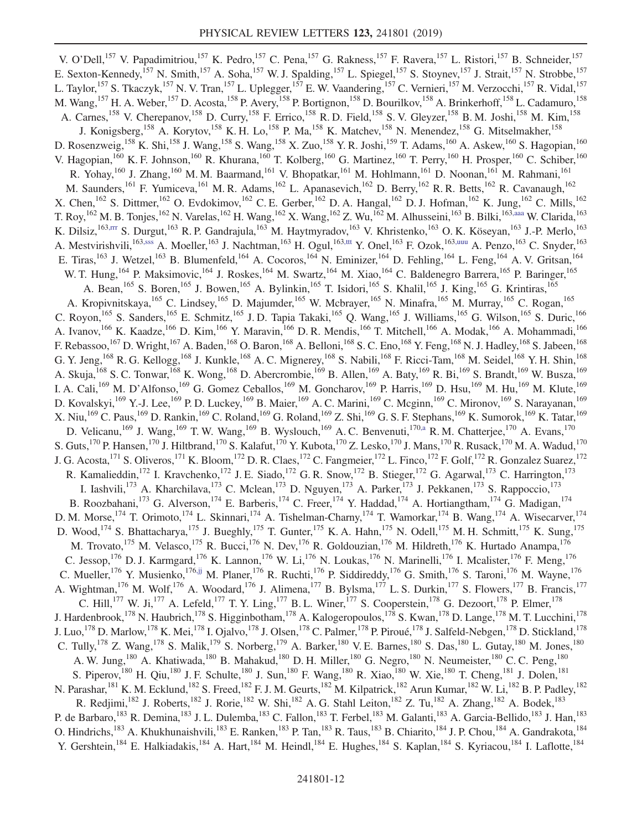<span id="page-11-1"></span><span id="page-11-0"></span>V. O'Dell,<sup>157</sup> V. Papadimitriou,<sup>157</sup> K. Pedro,<sup>157</sup> C. Pena,<sup>157</sup> G. Rakness,<sup>157</sup> F. Ravera,<sup>157</sup> L. Ristori,<sup>157</sup> B. Schneider,<sup>157</sup> E. Sexton-Kennedy,<sup>157</sup> N. Smith,<sup>157</sup> A. Soha,<sup>157</sup> W. J. Spalding,<sup>157</sup> L. Spiegel,<sup>157</sup> S. Stoynev,<sup>157</sup> J. Strait,<sup>157</sup> N. Strobbe,<sup>157</sup> L. Taylor,<sup>157</sup> S. Tkaczyk,<sup>157</sup> N. V. Tran,<sup>157</sup> L. Uplegger,<sup>157</sup> E. W. Vaandering,<sup>157</sup> C. Vernieri,<sup>157</sup> M. Verzocchi,<sup>157</sup> R. Vidal,<sup>157</sup> M. Wang, <sup>157</sup> H. A. Weber, <sup>157</sup> D. Acosta, <sup>158</sup> P. Avery, <sup>158</sup> P. Bortignon, <sup>158</sup> D. Bourilkov, <sup>158</sup> A. Brinkerhoff, <sup>158</sup> L. Cadamuro, <sup>158</sup> A. Carnes,<sup>158</sup> V. Cherepanov,<sup>158</sup> D. Curry,<sup>158</sup> F. Errico,<sup>158</sup> R. D. Field,<sup>158</sup> S. V. Gleyzer,<sup>158</sup> B. M. Joshi,<sup>158</sup> M. Kim,<sup>158</sup> J. Konigsberg,<sup>158</sup> A. Korytov,<sup>158</sup> K. H. Lo,<sup>158</sup> P. Ma,<sup>158</sup> K. Matchev,<sup>158</sup> N. Menendez,<sup>158</sup> G. Mitselmakher,<sup>158</sup> D. Rosenzweig,<sup>158</sup> K. Shi,<sup>158</sup> J. Wang,<sup>158</sup> S. Wang,<sup>158</sup> X. Zuo,<sup>158</sup> Y. R. Joshi,<sup>159</sup> T. Adams,<sup>160</sup> A. Askew,<sup>160</sup> S. Hagopian,<sup>160</sup> V. Hagopian,<sup>160</sup> K. F. Johnson,<sup>160</sup> R. Khurana,<sup>160</sup> T. Kolberg,<sup>160</sup> G. Martinez,<sup>160</sup> T. Perry,<sup>160</sup> H. Prosper,<sup>160</sup> C. Schiber,<sup>160</sup> R. Yohay,<sup>160</sup> J. Zhang,<sup>160</sup> M. M. Baarmand,<sup>161</sup> V. Bhopatkar,<sup>161</sup> M. Hohlmann,<sup>161</sup> D. Noonan,<sup>161</sup> M. Rahmani,<sup>161</sup> M. Saunders,<sup>161</sup> F. Yumiceva,<sup>161</sup> M. R. Adams,<sup>162</sup> L. Apanasevich,<sup>162</sup> D. Berry,<sup>162</sup> R. R. Betts,<sup>162</sup> R. Cavanaugh,<sup>162</sup> X. Chen,<sup>162</sup> S. Dittmer,<sup>162</sup> O. Evdokimov,<sup>162</sup> C. E. Gerber,<sup>162</sup> D. A. Hangal,<sup>162</sup> D. J. Hofman,<sup>162</sup> K. Jung,<sup>162</sup> C. Mills,<sup>162</sup> T. Roy, <sup>162</sup> M. B. Tonjes, <sup>162</sup> N. Varelas, <sup>162</sup> H. Wang, <sup>162</sup> X. Wang, <sup>162</sup> Z. Wu, <sup>162</sup> M. Alhusseini, <sup>163</sup> B. Bilki, <sup>163[,aaa](#page-16-43)</sup> W. Clarida, <sup>163</sup> K. Dilsiz,<sup>163,rr</sup> S. Durgut,<sup>163</sup> R. P. Gandrajula,<sup>163</sup> M. Haytmyradov,<sup>163</sup> V. Khristenko,<sup>163</sup> O. K. Köseyan,<sup>163</sup> J.-P. Merlo,<sup>163</sup> A. Mestvirishvili,<sup>163[,sss](#page-17-3)</sup> A. Moeller,<sup>163</sup> J. Nachtman,<sup>163</sup> H. Ogul,<sup>16[3,ttt](#page-17-4)</sup> Y. Onel,<sup>163</sup> F. Ozok,<sup>16[3,uuu](#page-17-5)</sup> A. Penzo,<sup>163</sup> C. Snyder,<sup>163</sup> E. Tiras,<sup>163</sup> J. Wetzel,<sup>163</sup> B. Blumenfeld,<sup>164</sup> A. Cocoros,<sup>164</sup> N. Eminizer,<sup>164</sup> D. Fehling,<sup>164</sup> L. Feng,<sup>164</sup> A. V. Gritsan,<sup>164</sup> W. T. Hung, <sup>164</sup> P. Maksimovic, <sup>164</sup> J. Roskes, <sup>164</sup> M. Swartz, <sup>164</sup> M. Xiao, <sup>164</sup> C. Baldenegro Barrera, <sup>165</sup> P. Baringer, <sup>165</sup> A. Bean,<sup>165</sup> S. Boren,<sup>165</sup> J. Bowen,<sup>165</sup> A. Bylinkin,<sup>165</sup> T. Isidori,<sup>165</sup> S. Khalil,<sup>165</sup> J. King,<sup>165</sup> G. Krintiras,<sup>165</sup> A. Kropivnitskaya, <sup>165</sup> C. Lindsey, <sup>165</sup> D. Majumder, <sup>165</sup> W. Mcbrayer, <sup>165</sup> N. Minafra, <sup>165</sup> M. Murray, <sup>165</sup> C. Rogan, <sup>165</sup> C. Royon,<sup>165</sup> S. Sanders,<sup>165</sup> E. Schmitz,<sup>165</sup> J. D. Tapia Takaki,<sup>165</sup> Q. Wang,<sup>165</sup> J. Williams,<sup>165</sup> G. Wilson,<sup>165</sup> S. Duric,<sup>166</sup> A. Ivanov,<sup>166</sup> K. Kaadze,<sup>166</sup> D. Kim,<sup>166</sup> Y. Maravin,<sup>166</sup> D. R. Mendis,<sup>166</sup> T. Mitchell,<sup>166</sup> A. Modak,<sup>166</sup> A. Mohammadi,<sup>166</sup> F. Rebassoo, <sup>167</sup> D. Wright, <sup>167</sup> A. Baden, <sup>168</sup> O. Baron, <sup>168</sup> A. Belloni, <sup>168</sup> S. C. Eno, <sup>168</sup> Y. Feng, <sup>168</sup> N. J. Hadley, <sup>168</sup> S. Jabeen, <sup>168</sup> G. Y. Jeng,<sup>168</sup> R. G. Kellogg,<sup>168</sup> J. Kunkle,<sup>168</sup> A. C. Mignerey,<sup>168</sup> S. Nabili,<sup>168</sup> F. Ricci-Tam,<sup>168</sup> M. Seidel,<sup>168</sup> Y. H. Shin,<sup>168</sup> A. Skuja, <sup>168</sup> S. C. Tonwar, <sup>168</sup> K. Wong, <sup>168</sup> D. Abercrombie, <sup>169</sup> B. Allen, <sup>169</sup> A. Baty, <sup>169</sup> R. Bi, <sup>169</sup> S. Brandt, <sup>169</sup> W. Busza, <sup>169</sup> I. A. Cali, <sup>169</sup> M. D'Alfonso, <sup>169</sup> G. Gomez Ceballos, <sup>169</sup> M. Goncharov, <sup>169</sup> P. Harris, <sup>169</sup> D. Hsu, <sup>169</sup> M. Hu, <sup>169</sup> M. Klute, <sup>169</sup> D. Kovalskyi,<sup>169</sup> Y.-J. Lee,<sup>169</sup> P. D. Luckey,<sup>169</sup> B. Maier,<sup>169</sup> A. C. Marini,<sup>169</sup> C. Mcginn,<sup>169</sup> C. Mironov,<sup>169</sup> S. Narayanan,<sup>169</sup> X. Niu,  $^{169}$  C. Paus,  $^{169}$  D. Rankin,  $^{169}$  C. Roland,  $^{169}$  G. Roland,  $^{169}$  Z. Shi,  $^{169}$  G. S. F. Stephans,  $^{169}$  K. Sumorok,  $^{169}$  K. Tatar,  $^{169}$ D. Velicanu,<sup>169</sup> J. Wang,<sup>169</sup> T.W. Wang,<sup>169</sup> B. Wyslouch,<sup>169</sup> A.C. Benvenuti,<sup>17[0,a](#page-15-0)</sup> R.M. Chatterjee,<sup>170</sup> A. Evans,<sup>170</sup> S. Guts,<sup>170</sup> P. Hansen,<sup>170</sup> J. Hiltbrand,<sup>170</sup> S. Kalafut,<sup>170</sup> Y. Kubota,<sup>170</sup> Z. Lesko,<sup>170</sup> J. Mans,<sup>170</sup> R. Rusack,<sup>170</sup> M. A. Wadud,<sup>170</sup> J. G. Acosta, <sup>171</sup> S. Oliveros, <sup>171</sup> K. Bloom, <sup>172</sup> D. R. Claes, <sup>172</sup> C. Fangmeier, <sup>172</sup> L. Finco, <sup>172</sup> F. Golf, <sup>172</sup> R. Gonzalez Suarez, <sup>172</sup> R. Kamalieddin,<sup>172</sup> I. Kravchenko,<sup>172</sup> J. E. Siado,<sup>172</sup> G. R. Snow,<sup>172</sup> B. Stieger,<sup>172</sup> G. Agarwal,<sup>173</sup> C. Harrington,<sup>173</sup> I. Iashvili,<sup>173</sup> A. Kharchilava,<sup>173</sup> C. Mclean,<sup>173</sup> D. Nguyen,<sup>173</sup> A. Parker,<sup>173</sup> J. Pekkanen,<sup>173</sup> S. Rappoccio,<sup>173</sup> B. Roozbahani,<sup>173</sup> G. Alverson,<sup>174</sup> E. Barberis,<sup>174</sup> C. Freer,<sup>174</sup> Y. Haddad,<sup>174</sup> A. Hortiangtham,<sup>174</sup> G. Madigan,<sup>174</sup> D. M. Morse,<sup>174</sup> T. Orimoto,<sup>174</sup> L. Skinnari,<sup>174</sup> A. Tishelman-Charny,<sup>174</sup> T. Wamorkar,<sup>174</sup> B. Wang,<sup>174</sup> A. Wisecarver,<sup>174</sup> D. Wood,  $^{174}$  S. Bhattacharya,  $^{175}$  J. Bueghly,  $^{175}$  T. Gunter,  $^{175}$  K. A. Hahn,  $^{175}$  N. Odell,  $^{175}$  M. H. Schmitt,  $^{175}$  K. Sung,  $^{175}$ M. Trovato, <sup>175</sup> M. Velasco, <sup>175</sup> R. Bucci, <sup>176</sup> N. Dev, <sup>176</sup> R. Goldouzian, <sup>176</sup> M. Hildreth, <sup>176</sup> K. Hurtado Anampa, <sup>176</sup> C. Jessop,<sup>176</sup> D. J. Karmgard,<sup>176</sup> K. Lannon,<sup>176</sup> W. Li,<sup>176</sup> N. Loukas,<sup>176</sup> N. Marinelli,<sup>176</sup> I. Mcalister,<sup>176</sup> F. Meng,<sup>176</sup> C. Mueller, <sup>176</sup> Y. Musienko, <sup>17[6,jj](#page-16-27)</sup> M. Planer, <sup>176</sup> R. Ruchti, <sup>176</sup> P. Siddireddy, <sup>176</sup> G. Smith, <sup>176</sup> S. Taroni, <sup>176</sup> M. Wayne, <sup>176</sup> A. Wightman,<sup>176</sup> M. Wolf,<sup>176</sup> A. Woodard,<sup>176</sup> J. Alimena,<sup>177</sup> B. Bylsma,<sup>177</sup> L. S. Durkin,<sup>177</sup> S. Flowers,<sup>177</sup> B. Francis,<sup>177</sup> C. Hill,<sup>177</sup> W. Ji,<sup>177</sup> A. Lefeld,<sup>177</sup> T. Y. Ling,<sup>177</sup> B. L. Winer,<sup>177</sup> S. Cooperstein,<sup>178</sup> G. Dezoort,<sup>178</sup> P. Elmer,<sup>178</sup> J. Hardenbrook,<sup>178</sup> N. Haubrich,<sup>178</sup> S. Higginbotham,<sup>178</sup> A. Kalogeropoulos,<sup>178</sup> S. Kwan,<sup>178</sup> D. Lange,<sup>178</sup> M. T. Lucchini,<sup>178</sup> J. Luo,<sup>178</sup> D. Marlow,<sup>178</sup> K. Mei,<sup>178</sup> I. Ojalvo,<sup>178</sup> J. Olsen,<sup>178</sup> C. Palmer,<sup>178</sup> P. Piroué,<sup>178</sup> J. Salfeld-Nebgen,<sup>178</sup> D. Stickland,<sup>178</sup> C. Tully,  $^{178}$  Z. Wang,  $^{178}$  S. Malik,  $^{179}$  S. Norberg,  $^{179}$  A. Barker,  $^{180}$  V. E. Barnes,  $^{180}$  S. Das,  $^{180}$  L. Gutay,  $^{180}$  M. Jones,  $^{180}$ A. W. Jung,<sup>180</sup> A. Khatiwada,<sup>180</sup> B. Mahakud,<sup>180</sup> D. H. Miller,<sup>180</sup> G. Negro,<sup>180</sup> N. Neumeister,<sup>180</sup> C. C. Peng,<sup>180</sup> S. Piperov,<sup>180</sup> H. Qiu,<sup>180</sup> J. F. Schulte,<sup>180</sup> J. Sun,<sup>180</sup> F. Wang,<sup>180</sup> R. Xiao,<sup>180</sup> W. Xie,<sup>180</sup> T. Cheng,<sup>181</sup> J. Dolen,<sup>181</sup> N. Parashar,<sup>181</sup> K. M. Ecklund,<sup>182</sup> S. Freed,<sup>182</sup> F. J. M. Geurts,<sup>182</sup> M. Kilpatrick,<sup>182</sup> Arun Kumar,<sup>182</sup> W. Li,<sup>182</sup> B. P. Padley,<sup>182</sup> R. Redjimi,<sup>182</sup> J. Roberts,<sup>182</sup> J. Rorie,<sup>182</sup> W. Shi,<sup>182</sup> A. G. Stahl Leiton,<sup>182</sup> Z. Tu,<sup>182</sup> A. Zhang,<sup>182</sup> A. Bodek,<sup>183</sup> P. de Barbaro, <sup>183</sup> R. Demina, <sup>183</sup> J. L. Dulemba, <sup>183</sup> C. Fallon, <sup>183</sup> T. Ferbel, <sup>183</sup> M. Galanti, <sup>183</sup> A. Garcia-Bellido, <sup>183</sup> J. Han, <sup>183</sup> O. Hindrichs,<sup>183</sup> A. Khukhunaishvili,<sup>183</sup> E. Ranken,<sup>183</sup> P. Tan,<sup>183</sup> R. Taus,<sup>183</sup> B. Chiarito,<sup>184</sup> J. P. Chou,<sup>184</sup> A. Gandrakota,<sup>184</sup> Y. Gershtein,<sup>184</sup> E. Halkiadakis,<sup>184</sup> A. Hart,<sup>184</sup> M. Heindl,<sup>184</sup> E. Hughes,<sup>184</sup> S. Kaplan,<sup>184</sup> S. Kyriacou,<sup>184</sup> I. Laflotte,<sup>184</sup>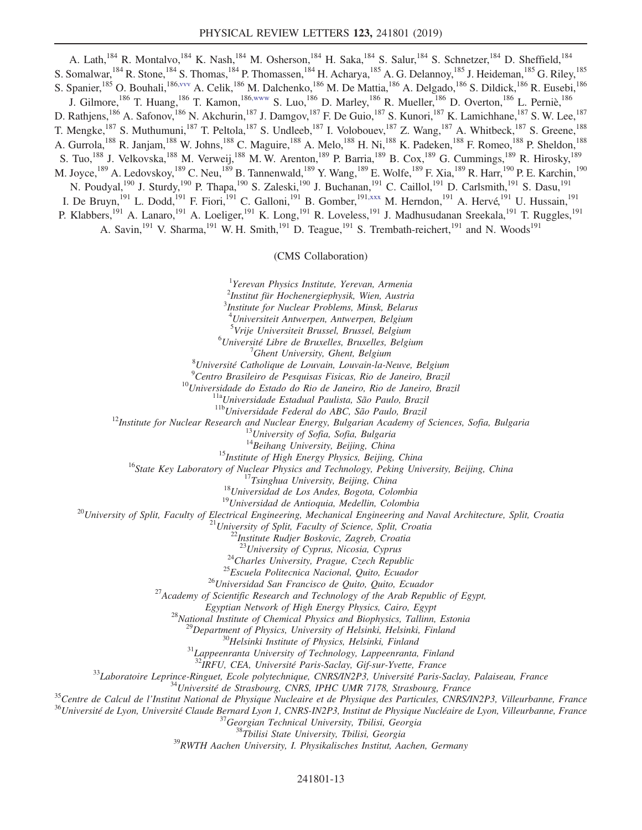<span id="page-12-2"></span><span id="page-12-1"></span><span id="page-12-0"></span>A. Lath,<sup>184</sup> R. Montalvo,<sup>184</sup> K. Nash,<sup>184</sup> M. Osherson,<sup>184</sup> H. Saka,<sup>184</sup> S. Salur,<sup>184</sup> S. Schnetzer,<sup>184</sup> D. Sheffield,<sup>184</sup> S. Somalwar, <sup>184</sup> R. Stone, <sup>184</sup> S. Thomas, <sup>184</sup> P. Thomassen, <sup>184</sup> H. Acharya, <sup>185</sup> A. G. Delannoy, <sup>185</sup> J. Heideman, <sup>185</sup> G. Riley, <sup>185</sup> S. Spanier,<sup>185</sup> O. Bouhali,<sup>186[,vvv](#page-17-6)</sup> A. Celik,<sup>186</sup> M. Dalchenko,<sup>186</sup> M. De Mattia,<sup>186</sup> A. Delgado,<sup>186</sup> S. Dildick,<sup>186</sup> R. Eusebi,<sup>186</sup> J. Gilmore, <sup>186</sup> T. Huang, <sup>186</sup> T. Kamon, <sup>18[6,www](#page-17-7)</sup> S. Luo, <sup>186</sup> D. Marley, <sup>186</sup> R. Mueller, <sup>186</sup> D. Overton, <sup>186</sup> L. Perniè, <sup>186</sup> D. Rathjens,<sup>186</sup> A. Safonov,<sup>186</sup> N. Akchurin,<sup>187</sup> J. Damgov,<sup>187</sup> F. De Guio,<sup>187</sup> S. Kunori,<sup>187</sup> K. Lamichhane,<sup>187</sup> S. W. Lee,<sup>187</sup> T. Mengke,<sup>187</sup> S. Muthumuni,<sup>187</sup> T. Peltola,<sup>187</sup> S. Undleeb,<sup>187</sup> I. Volobouev,<sup>187</sup> Z. Wang,<sup>187</sup> A. Whitbeck,<sup>187</sup> S. Greene,<sup>188</sup> A. Gurrola,<sup>188</sup> R. Janjam,<sup>188</sup> W. Johns,<sup>188</sup> C. Maguire,<sup>188</sup> A. Melo,<sup>188</sup> H. Ni,<sup>188</sup> K. Padeken,<sup>188</sup> F. Romeo,<sup>188</sup> P. Sheldon,<sup>188</sup> S. Tuo,<sup>188</sup> J. Velkovska,<sup>188</sup> M. Verweij,<sup>188</sup> M. W. Arenton,<sup>189</sup> P. Barria,<sup>189</sup> B. Cox,<sup>189</sup> G. Cummings,<sup>189</sup> R. Hirosky,<sup>189</sup> M. Joyce,<sup>189</sup> A. Ledovskoy,<sup>189</sup> C. Neu,<sup>189</sup> B. Tannenwald,<sup>189</sup> Y. Wang,<sup>189</sup> E. Wolfe,<sup>189</sup> F. Xia,<sup>189</sup> R. Harr,<sup>190</sup> P. E. Karchin,<sup>190</sup> N. Poudyal,<sup>190</sup> J. Sturdy,<sup>190</sup> P. Thapa,<sup>190</sup> S. Zaleski,<sup>190</sup> J. Buchanan,<sup>191</sup> C. Caillol,<sup>191</sup> D. Carlsmith,<sup>191</sup> S. Dasu,<sup>191</sup> I. De Bruyn,<sup>191</sup> L. Dodd,<sup>191</sup> F. Fiori,<sup>191</sup> C. Galloni,<sup>191</sup> B. Gomber,<sup>19[1,xxx](#page-17-8)</sup> M. Herndon,<sup>191</sup> A. Hervé,<sup>191</sup> U. Hussain,<sup>191</sup> P. Klabbers,<sup>191</sup> A. Lanaro,<sup>191</sup> A. Loeliger,<sup>191</sup> K. Long,<sup>191</sup> R. Loveless,<sup>191</sup> J. Madhusudanan Sreekala,<sup>191</sup> T. Ruggles,<sup>191</sup> A. Savin,<sup>191</sup> V. Sharma,<sup>191</sup> W. H. Smith,<sup>191</sup> D. Teague,<sup>191</sup> S. Trembath-reichert,<sup>191</sup> and N. Woods<sup>191</sup>

## (CMS Collaboration)

<sup>1</sup>Yerevan Physics Institute, Yerevan, Armenia

2 Institut für Hochenergiephysik, Wien, Austria

3 Institute for Nuclear Problems, Minsk, Belarus

<sup>4</sup>Universiteit Antwerpen, Antwerpen, Belgium

<sup>5</sup>Vrije Universiteit Brussel, Brussel, Belgium<br><sup>6</sup>Université Libre de Bruxelles, Bruxelles, Belgium  $6$ Université Libre de Bruxelles, Bruxelles, Belgium

 $^7$ Ghent University, Ghent, Belgium

 ${}^8$ Université Catholique de Louvain, Louvain-la-Neuve, Belgium  ${}^9$ Centro Brasileiro de Pesquisas Fisicas, Rio de Janeiro, Brazil

<sup>10</sup>Universidade do Estado do Rio de Janeiro, Rio de Janeiro, Brazil<br><sup>11a</sup>Universidade Estadual Paulista, São Paulo, Brazil<br><sup>11b</sup>Universidade Federal do ABC, São Paulo, Brazil<br><sup>12</sup>Institute for Nuclear Research and Nuclea

<sup>15</sup>Institute of High Energy Physics, Beijing, China<br><sup>16</sup>State Key Laboratory of Nuclear Physics and Technology, Peking University, Beijing, China<br><sup>17</sup>Tsinghua University, Beijing, China<br><sup>18</sup>Universidad de Los Andes, Bogo

<sup>24</sup>Charles University, Prague, Czech Republic<br><sup>25</sup>Escuela Politecnica Nacional, Quito, Ecuador<br><sup>26</sup>Universidad San Francisco de Quito, Quito, Ecuador<br><sup>27</sup>Academy of Scientific Research and Technology of the Arab Republic

Egyptian Network of High Energy Physics, Cairo, Egypt<br><sup>28</sup>National Institute of Chemical Physics and Biophysics, Tallinn, Estonia<br><sup>29</sup>Department of Physics, University of Helsinki, Helsinki, Finland<br><sup>30</sup>Helsinki Institute

<sup>33</sup>Laboratoire Leprince-Ringuet, Ecole polytechnique, CNRS/IN2P3, Université Paris-Saclay, Palaiseau, France<br><sup>34</sup>Université de Strasbourg, CNRS, IPHC UMR 7178, Strasbourg, France<br><sup>35</sup>Centre de Calcul de l'Institut Nation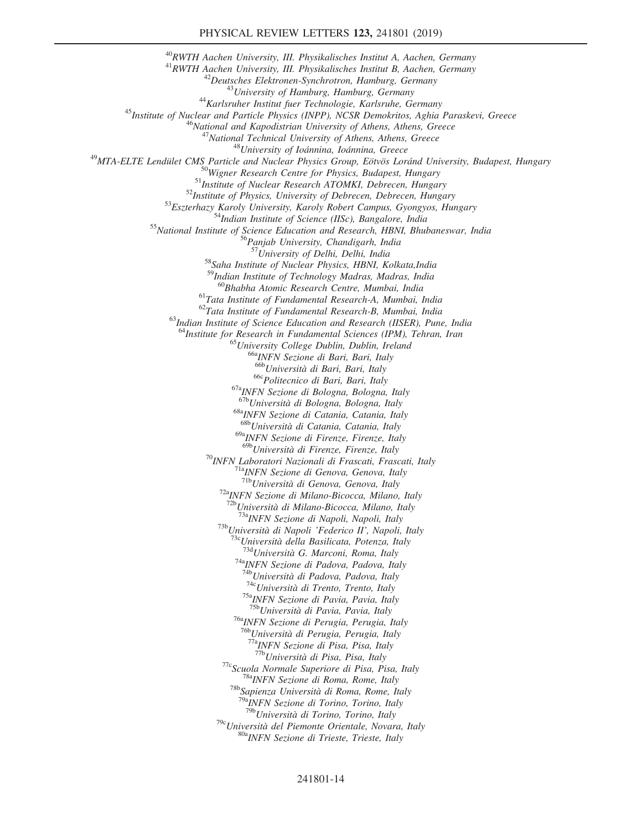<sup>40</sup>RWTH Aachen University, III. Physikalisches Institut A, Aachen, Germany <sup>41</sup>RWTH Aachen University, III. Physikalisches Institut B, Aachen, Germany  $\begin{array}{c} \begin{array}{c} \begin{array}{c} \begin{array}{c} \begin{array}{c} \begin{array}{c} \begin{array}{c} \end{array}{c} \end{array} & \begin{array}{c} \begin{array}{c} \end{array}{c} \end{array} & \begin{array}{c} \end{array} & \begin{array}{c} \end{array} & \begin{array}{c} \end{array} & \begin{array}{c} \end{array} & \begin{array}{c} \end{array} & \begin{array}{c} \end{array} & \begin{array}{c} \end{array} & \begin{array}{c} \end{array} & \end{array} & \begin{array}{c} \end{array} & \begin{array}{c} \$ <sup>556</sup>Panjab University, Chandigarh, India<br><sup>57</sup>University of Delhi, Delhi, India<br><sup>58</sup>Saha Institute of Nuclear Physics, HBNI, Kolkata,India <sup>59</sup>Indian Institute of Technology Madras, Madras, India<br><sup>60</sup>Bhabha Atomic Research Centre, Mumbai, India <sup>61</sup>Tata Institute of Fundamental Research-A, Mumbai, India  $^{62}$ Tata Institute of Fundamental Research-B, Mumbai, India  $63$ Indian Institute of Science Education and Research (IISER), Pune, India <sup>4</sup>Institute for Research in Fundamental Sciences (IPM), Tehran, Iran <sup>66</sup>University College Dublin, Dublin, Ireland <sup>66a</sup>INFN Sezione di Bari, Bari, Italy <sup>666</sup>Università di Bari, Bari, Italy <sup>66c</sup>Politecnico di Bari, Bari, Italy<br><sup>67a</sup>INFN Sezione di Bologna, Bologna, Italy <sup>67b</sup>Università di Bologna, Bologna, Italy <sup>68a</sup>INFN Sezione di Catania, Catania, Italy 68b Università di Catania, Catania, Italy  $^{69a}$ INFN Sezione di Firenze, Firenze, Italy<br> $^{69b}$ Università di Firenze, Firenze, Italy <sup>70</sup>INFN Laboratori Nazionali di Frascati, Frascati, Italy <sup>71a</sup>INFN Sezione di Genova, Genova, Italy <sup>71b</sup>Università di Genova, Genova, Italy <sup>72a</sup>INFN Sezione di Milano-Bicocca, Milano, Italy  $^{72b}$ Università di Milano-Bicocca, Milano, Italy <sup>73a</sup>INFN Sezione di Napoli, Napoli, Italy<br><sup>73b</sup>Università di Napoli 'Federico II', Napoli, Italy<br><sup>73</sup><sup>C</sup>Università della Basilicata, Potenza, Italy<br><sup>734</sup>Università G. Marconi, Roma, Italy<br><sup>74a</sup>INFN Sezione di Padova, Pad <sup>74c</sup>Università di Trento, Trento, Italy <sup>75a</sup>INFN Sezione di Pavia, Pavia, Italy <sup>75b</sup>Università di Pavia, Pavia, Italy <sup>76a</sup>INFN Sezione di Perugia, Perugia, Italy<br><sup>76b</sup>Università di Perugia, Perugia, Italy  $^{77a}NFN$  Sezione di Pisa, Pisa, Italy  $^{77b}Università$  di Pisa, Pisa, Italy <sup>77c</sup>Scuola Normale Superiore di Pisa, Pisa, Italy <sup>78a</sup>INFN Sezione di Roma, Rome, Italy <sup>78b</sup>Sapienza Università di Roma, Rome, Italy <sup>79a</sup>INFN Sezione di Torino, Torino, Italy <sup>79b</sup>Università di Torino, Torino, Italy <sup>79c</sup>Università del Piemonte Orientale, Novara, Italy  $\frac{80a}{NFN}$  Sezione di Trieste, Trieste, Italy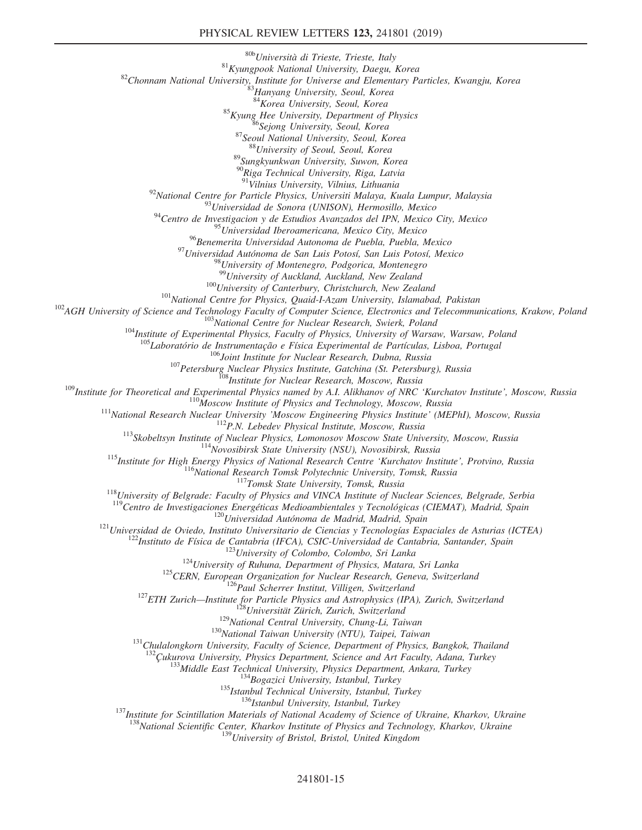## PHYSICAL REVIEW LETTERS 123, 241801 (2019)

 $^{80b}$ Università di Trieste, Trieste, Italy  $^{81}$ Kyungpook National University, Daegu, Korea  $^{82}$ Chonnam National University, Institute for Universe and Elementary Particles, Kwangju, Korea  $^{84}$ Korea University, Seo

<sup>85</sup>Kyung Hee University, Department of Physics<br><sup>86</sup>Sejong University, Seoul, Korea <sup>87</sup>Seoul National University, Seoul, Korea <sup>88</sup>University of Seoul, Seoul, Korea

89 Sungkyunkwan University, Suwon, Korea

<sup>90</sup>Riga Technical University, Riga, Latvia<br><sup>91</sup>Vilnius University, Vilnius, Lithuania

<sup>92</sup>National Centre for Particle Physics, Universiti Malaya, Kuala Lumpur, Malaysia<br><sup>93</sup>Universidad de Sonora (UNISON), Hermosillo, Mexico<br><sup>94</sup>Centro de Investigacion y de Estudios Avanzados del IPN, Mexico City, Mexico

<sup>95</sup>Universidad Iberoamericana, Mexico City, Mexico<br><sup>96</sup>Benemerita Universidad Autonoma de Puebla, Puebla, Mexico

<sup>97</sup>Universidad Autónoma de San Luis Potosí, San Luis Potosí, Mexico <sup>98</sup>University of Montenegro, Podgorica, Montenegro<br><sup>99</sup>University of Auckland, Auckland, New Zealand

<sup>100</sup>University of Canterbury, Christchurch, New Zealand<br><sup>101</sup>National Centre for Physics, Quaid-I-Azam University, Islamabad, Pakistan<br><sup>102</sup>AGH University of Science and Technology Faculty of Computer Science, Electronic

 $\begin{array}{r} \text{^{108}Joint Institute for Nuclear Research, Dubna, Russia} \\ \text{^{109}Petersburg Nuclear Physics Institute, Gatchina (St. Petersburg), Russia} \\ \text{^{109} Institute for Theoretical and Experimental Physics named by A.I. Alikhanov of NRC 'Kurchatov Institute', Moscow, Russia \\ \text{^{110}Moseow Institute of Physics and Technology, Moscow, Russia} \\ \text{^{111}Mational Research Nuclear University 'Moseow Engineering Physics Institute' (MEPhI), Moscow, Russia \\ \text{^{112}PN. Lebedev Physics and Technology, Moscow, Russia \\ \text{^{113}Skobeltsyn Institute of Nuclear University'Moseow Sigineering Physics Institute' (MEPhI), Moscow, Russia \\ \text{^{113}Skobeltsyn Institute for High Energy Physics$ 

<sup>121</sup>Universidad Autónoma de Madrid, Madrid, Spain<br><sup>121</sup>Universidad de Oviedo, Instituto Universitario de Ciencias y Tecnologías Espaciales de Asturias (ICTEA)<br><sup>122</sup>Instituto de Física de Cantabria (IFCA), CSIC-Universida

<sup>133</sup>Middle East Technical University, Physics Department, Ankara, Turkey<br><sup>134</sup>Bogazici University, Istanbul, Turkey<br><sup>135</sup>Istanbul Technical University, Istanbul, Turkey<br><sup>137</sup>Institute for Scintillation Materials of Natio

<sup>138</sup>National Scientific Center, Kharkov Institute of Physics and Technology, Kharkov, Ukraine<br><sup>139</sup>University of Bristol, Bristol, United Kingdom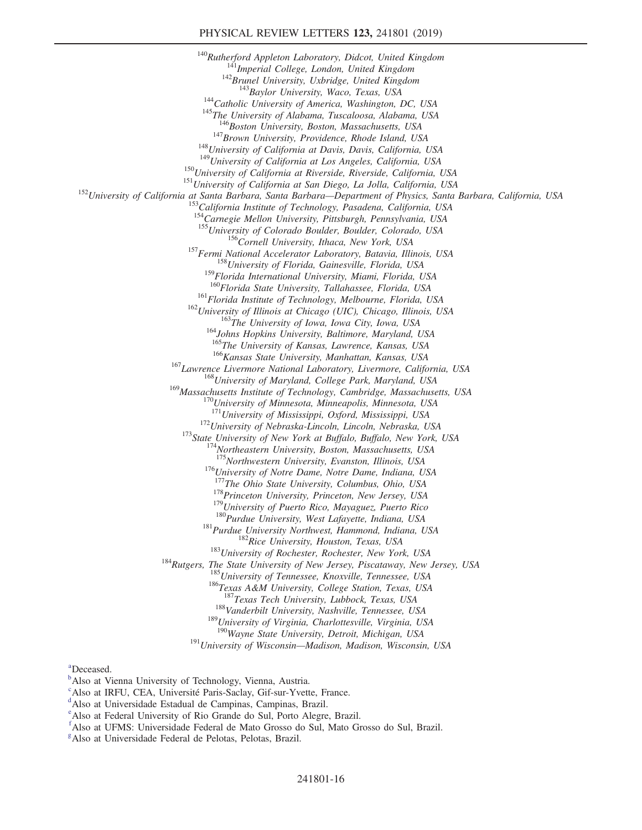## PHYSICAL REVIEW LETTERS 123, 241801 (2019)

<sup>140</sup>Rutherford Appleton Laboratory, Didcot, United Kingdom<br><sup>141</sup>Imperial College, London, United Kingdom<br><sup>142</sup>Brunel University, Uxbridge, United Kingdom<br><sup>143</sup>Baylor University, Waco, Texas, USA<br><sup>144</sup>Catholic University <sup>147</sup>Brown University, Providence, Rhode Island, USA<br><sup>148</sup>University of California at Davis, Davis, California, USA<br><sup>149</sup>University of California at Los Angeles, California, USA<br><sup>150</sup>University of California at Riverside,  $^{154}$ Carnegie Mellon University, Pittsburgh, Pennsylvania, USA<br> $^{155}$ University of Colorado Boulder, Boulder, Colorado, USA <sup>156</sup>Cornell University, Ithaca, New York, USA <sup>157</sup>Fermi National Accelerator Laboratory, Batavia, Illinois, USA <sup>158</sup>University of Florida, Gainesville, Florida, USA <sup>159</sup>Florida International University, Miami, Florida, USA<br><sup>160</sup>Florida State University, Tallahassee, Florida, USA <sup>161</sup>Florida Institute of Technology, Melbourne, Florida, USA<br><sup>162</sup>University of Illinois at Chicago (UIC), Chicago, Illinois, USA<br><sup>163</sup>The University of Iowa, Iowa City, Iowa, USA<br><sup>164</sup>Johns Hopkins University, Baltimore <sup>166</sup> Kansas State University, Manhattan, Kansas, USA<br><sup>167</sup> Lawrence Livermore National Laboratory, Livermore, California, USA<br><sup>168</sup> University of Maryland, College Park, Maryland, USA <sup>169</sup>Massachusetts Institute of Technology, Cambridge, Massachusetts, USA<br><sup>170</sup>University of Minnesota, Minneapolis, Minnesota, USA<br><sup>171</sup>University of Mississippi, Oxford, Mississippi, USA  $^{172}$ University of Nebraska-Lincoln, Lincoln, Nebraska, USA<br> $^{173}$ State University of New York at Buffalo, Buffalo, New York, USA<br> $^{174}$ Northeastern University, Boston, Massachusetts, USA<br> $^{175}$ Northwestern Universit <sup>176</sup>University of Notre Dame, Notre Dame, Indiana, USA <sup>177</sup>The Ohio State University, Columbus, Ohio, USA <sup>178</sup>Princeton University, Princeton, New Jersey, USA<br><sup>179</sup>University of Puerto Rico, Mayaguez, Puerto Rico<br><sup>180</sup>Purdue University, West Lafayette, Indiana, USA<br><sup>181</sup>Purdue University Northwest, Hammond, Indiana, USA<br><sup>181</sup> <sup>188</sup>Vanderbilt University, Nashville, Tennessee, USA <sup>189</sup>University of Virginia, Charlottesville, Virginia, USA <sup>190</sup>Wayne State University, Detroit, Michigan, USA <sup>191</sup>University of Wisconsin-Madison, Madison, Wisconsin, USA

<span id="page-15-0"></span><sup>[a](#page-6-0)</sup>Deceased.

<span id="page-15-6"></span>[g](#page-6-6) Also at Universidade Federal de Pelotas, Pelotas, Brazil.

<span id="page-15-1"></span><sup>&</sup>lt;sup>[b](#page-6-1)</sup>Also at Vienna University of Technology, Vienna, Austria.

<span id="page-15-2"></span><sup>&</sup>lt;sup>[c](#page-6-2)</sup>Also at IRFU, CEA, Université Paris-Saclay, Gif-sur-Yvette, France.

<span id="page-15-3"></span>Also at Universidade Estadual de Campinas, Campinas, Brazil.

<span id="page-15-4"></span>[e](#page-6-4) Also at Federal University of Rio Grande do Sul, Porto Alegre, Brazil.

<span id="page-15-5"></span>[f](#page-6-5) Also at UFMS: Universidade Federal de Mato Grosso do Sul, Mato Grosso do Sul, Brazil.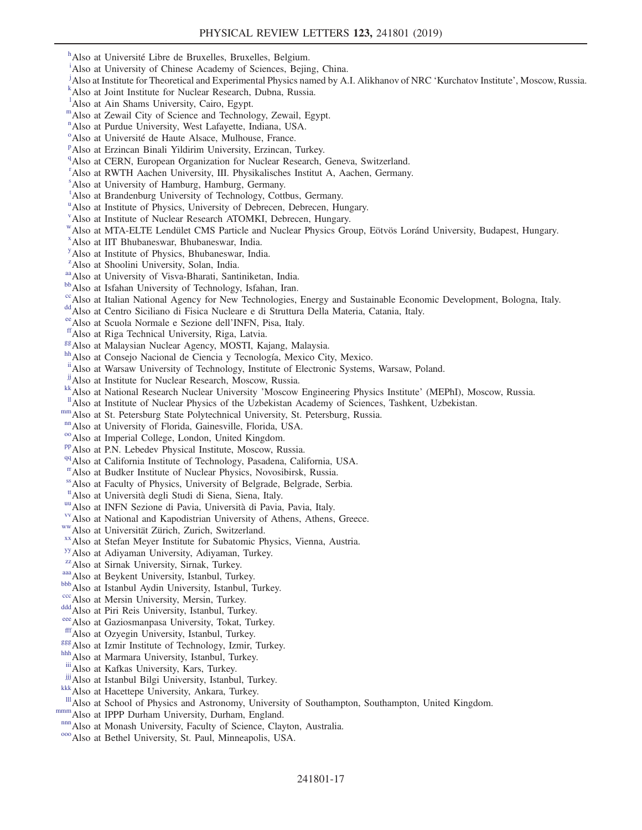- <span id="page-16-0"></span><sup>[h](#page-6-7)</sup> Also at Un[i](#page-6-8)versité Libre de Bruxelles, Bruxelles, Belgium.<br><sup>i</sup> Also et University of Chinese Acedemy of Sciences, Beijn
- <span id="page-16-1"></span><sup>1</sup>Also at University of Chinese Academy of Sciences, Bejing, China.
- <span id="page-16-2"></span><sup>[j](#page-6-9)</sup>Also at Institute for Theoretical and Experimental Physics named by A.I. Ali[k](#page-6-10)hanov of NRC 'Kurchatov Institute', Moscow, Russia.
- <span id="page-16-3"></span>Also at Joint Institute for Nuclear Research, Dubna, Russia.
- <span id="page-16-4"></span><sup>1</sup>A[l](#page-6-11)so at Ain Shams University, Cairo, Egypt.
- <span id="page-16-5"></span>[m](#page-6-12)Also at Zewail City of Science and Technology, Zewail, Egypt.
- <span id="page-16-6"></span>[n](#page-6-13) Also at Purdue University, West Lafayette, Indiana, USA.
- <span id="page-16-7"></span><sup>[o](#page-6-14)</su[p](#page-7-0)> Also at Université de Haute Alsace, Mulhouse, France.<br>PAlso et Fraincen Pineli Vildirim University, Fraincen
- <span id="page-16-8"></span><sup>P</sup>Also at Erzincan Binali Yildirim University, Erzincan, Turkey.
- <span id="page-16-9"></span><sup>[q](#page-7-1)</sup>Also at CERN, European Organization for Nuclear Research, Geneva, Switzerland.
- <span id="page-16-10"></span>[r](#page-7-2) Also at RWTH Aachen University, III. Physikalisches Institut A, Aachen, Germany.
- <span id="page-16-11"></span>[s](#page-7-3) Also at University of Hamburg, Hamburg, Germany.
- <span id="page-16-12"></span><sup>[t](#page-7-4)</sup>Also at Brandenburg University of Technology, Cottbus, Germany.
- <span id="page-16-13"></span><s[u](#page-7-5)p>u</sup>Also at Institute of Physics, University of Debrecen, Debrecen, Hungary.
- <span id="page-16-14"></span>[v](#page-7-6) Also at Institute of Nuclear Research ATOMKI, Debrecen, Hungary.
- wAlso at MTA-ELTE Lendület CMS Particle and Nuclear Physics Group, Eötvös Loránd University, Budapest, Hungary.
- <span id="page-16-15"></span>[x](#page-7-7) Also at IIT Bhubaneswar, Bhubaneswar, India.
- <span id="page-16-16"></span>[y](#page-7-7) Also at Institute of Physics, Bhubaneswar, India.
- <span id="page-16-17"></span><sup>[z](#page-7-8)</sup>Also at Shoolini University, Solan, India.
- <span id="page-16-18"></span>[aa](#page-7-8) Also at University of Visva-Bharati, Santiniketan, India.<br><sup>[bb](#page-7-9)</sup>Also at Isfahan University of Technology, Isfahan, Iran.
- <span id="page-16-19"></span>
- <span id="page-16-20"></span><sup>[cc](#page-8-0)</sup>Also at Italian National Agency for New Technologies, Energy and Sustainable Economic Development, Bologna, Italy. [dd](#page-8-1)<br>Also at Centro Siciliano di Fisica Nucleare e di Struttura Della Materia, Catania, Italy.<br><sup>ec</sup>Also a
- <span id="page-16-21"></span>
- <span id="page-16-22"></span>
- 
- <span id="page-16-25"></span><span id="page-16-24"></span>
- <span id="page-16-23"></span><sup>[ff](#page-8-3)</sup> Also at Riga Technical University, Riga, Latvia.<br><sup>[gg](#page-8-3)</sup> Also at Malaysian Nuclear Agency, MOSTI, Kajang, Malaysia.<br><sup>[hh](#page-8-4)</sup> Also at Consejo Nacional de Ciencia y Tecnología, Mexico City, Mexico.
- <span id="page-16-26"></span>[ii](#page-8-5) Also at Warsaw University of Technology, Institute of Electronic Systems, Warsaw, Poland.<br>
<sup>jj</sup> Also at Institute for Nuclear Research, Moscow, Russia.
- <span id="page-16-27"></span>
- <span id="page-16-28"></span><sup>kk</sup>Also at National Research Nuclear University 'Moscow Engineering Physics Institute' (MEPhI), Moscow, Russia.<br>
<sup>11</sup>Also at Institute of Nuclear Physics of the Uzbekistan Academy of Sciences, Tashkent, Uzbekistan.<br>
<sup>111</sup>

- <span id="page-16-29"></span>
- <span id="page-16-31"></span><span id="page-16-30"></span>
- 
- <span id="page-16-32"></span>
- <span id="page-16-33"></span>
- <span id="page-16-34"></span>[rr](#page-9-6)Also at Budker Institute of Nuclear Physics, Novosibirsk, Russia.
- <span id="page-16-35"></span><sup>[ss](#page-9-7)</sup>Also at Faculty of Physics, University of Belgrade, Belgrade, Serbia.<br><sup>tt</sup>Also at Università degli Studi di Siena, Siena, Italy.
- <span id="page-16-36"></span>
- <span id="page-16-38"></span>
- <span id="page-16-37"></span><sup>[uu](#page-9-9)</sup> Also at INFN Sezione di Pavia, Università di Pavia, Pavia, Italy.<br><sup>[vv](#page-9-10)</sup> Also at National and Kapodistrian University of Athens, Athens, Greece.<br><sup>[ww](#page-9-11)</sup> Also at Universität Zürich, Zurich, Switzerland.<br><sup>[xx](#page-9-12)</sup> Also at Stefan
- <span id="page-16-39"></span>
- <span id="page-16-40"></span>
- <span id="page-16-41"></span>
- <span id="page-16-42"></span>
- <span id="page-16-44"></span>
- <span id="page-16-43"></span><sup>[aaa](#page-10-2)</sup> Also at Beykent University, Istanbul, Turkey.<br>
<sup>[bbb](#page-10-2)</sup> Also at Istanbul Aydin University, Istanbul, Turkey.<br>
<sup>[ccc](#page-10-3)</sup> Also at Mersin University, Mersin, Turkey.<br>
<sup>dd</sup> Also at Piri Reis University, Istanbul, Turkey.<br>
<sup>ecc</sup>
- <span id="page-16-45"></span>
- <span id="page-16-46"></span>
- <span id="page-16-47"></span>
- <span id="page-16-48"></span>
- <span id="page-16-49"></span><sup>[ggg](#page-10-4)</sup>Also at Izmir Institute of Technology, Izmir, Turkey.<br>[hhh](#page-10-4)Also at Marmara University, Istanbul, Turkey.
- <span id="page-16-50"></span>
- <span id="page-16-52"></span>
- <span id="page-16-51"></span>[iii](#page-10-4) Also at Kafkas University, Kars, Turkey.<br>
<sup>jij</sup> Also at Istanbul Bilgi University, Istanbul, Turkey.
- <span id="page-16-53"></span><sup>[kkk](#page-10-5)</sup> Also at Hacettepe University, Ankara, Turkey.
- <span id="page-16-54"></span><sup>III</sup> Also at School of Physics and Astronomy, University of Southampton, Southampton, United Kingdom.<br><sup>nnm</sup> Also at IPPP Durham University, Durham, England.<br><sup>[nnn](#page-10-8)</sup> Also at Monash University, Faculty of Science, Clayton, Au
- <span id="page-16-55"></span>
- <span id="page-16-56"></span>
- <span id="page-16-57"></span>